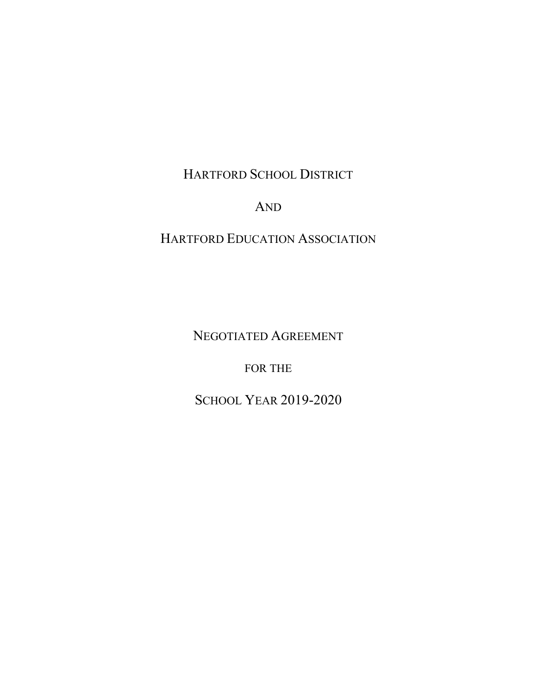HARTFORD SCHOOL DISTRICT

AND

HARTFORD EDUCATION ASSOCIATION

NEGOTIATED AGREEMENT

FOR THE

SCHOOL YEAR 2019-2020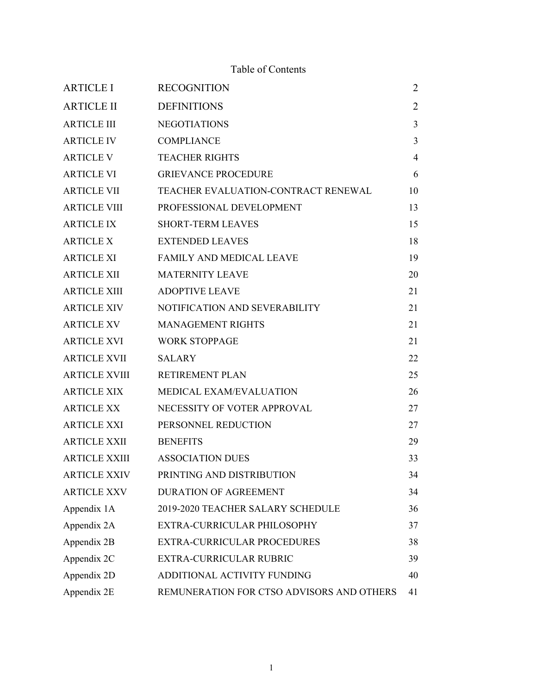# Table of Contents

| <b>ARTICLE I</b>     | <b>RECOGNITION</b>                        | $\overline{2}$ |
|----------------------|-------------------------------------------|----------------|
| <b>ARTICLE II</b>    | <b>DEFINITIONS</b>                        | $\overline{2}$ |
| <b>ARTICLE III</b>   | <b>NEGOTIATIONS</b>                       | $\overline{3}$ |
| <b>ARTICLE IV</b>    | <b>COMPLIANCE</b>                         | 3              |
| <b>ARTICLE V</b>     | <b>TEACHER RIGHTS</b>                     | $\overline{4}$ |
| <b>ARTICLE VI</b>    | <b>GRIEVANCE PROCEDURE</b>                | 6              |
| <b>ARTICLE VII</b>   | TEACHER EVALUATION-CONTRACT RENEWAL       | 10             |
| <b>ARTICLE VIII</b>  | PROFESSIONAL DEVELOPMENT                  | 13             |
| <b>ARTICLE IX</b>    | <b>SHORT-TERM LEAVES</b>                  | 15             |
| <b>ARTICLE X</b>     | <b>EXTENDED LEAVES</b>                    | 18             |
| <b>ARTICLE XI</b>    | FAMILY AND MEDICAL LEAVE                  | 19             |
| <b>ARTICLE XII</b>   | <b>MATERNITY LEAVE</b>                    | 20             |
| <b>ARTICLE XIII</b>  | <b>ADOPTIVE LEAVE</b>                     | 21             |
| <b>ARTICLE XIV</b>   | NOTIFICATION AND SEVERABILITY             | 21             |
| <b>ARTICLE XV</b>    | <b>MANAGEMENT RIGHTS</b>                  | 21             |
| <b>ARTICLE XVI</b>   | <b>WORK STOPPAGE</b>                      | 21             |
| <b>ARTICLE XVII</b>  | <b>SALARY</b>                             | 22             |
| <b>ARTICLE XVIII</b> | <b>RETIREMENT PLAN</b>                    | 25             |
| <b>ARTICLE XIX</b>   | MEDICAL EXAM/EVALUATION                   | 26             |
| <b>ARTICLE XX</b>    | NECESSITY OF VOTER APPROVAL               | 27             |
| <b>ARTICLE XXI</b>   | PERSONNEL REDUCTION                       | 27             |
| <b>ARTICLE XXII</b>  | <b>BENEFITS</b>                           | 29             |
| <b>ARTICLE XXIII</b> | <b>ASSOCIATION DUES</b>                   | 33             |
| <b>ARTICLE XXIV</b>  | PRINTING AND DISTRIBUTION                 | 34             |
| <b>ARTICLE XXV</b>   | DURATION OF AGREEMENT                     | 34             |
| Appendix 1A          | 2019-2020 TEACHER SALARY SCHEDULE         | 36             |
| Appendix 2A          | EXTRA-CURRICULAR PHILOSOPHY               | 37             |
| Appendix 2B          | EXTRA-CURRICULAR PROCEDURES               | 38             |
| Appendix 2C          | <b>EXTRA-CURRICULAR RUBRIC</b>            | 39             |
| Appendix 2D          | ADDITIONAL ACTIVITY FUNDING               | 40             |
| Appendix 2E          | REMUNERATION FOR CTSO ADVISORS AND OTHERS | 41             |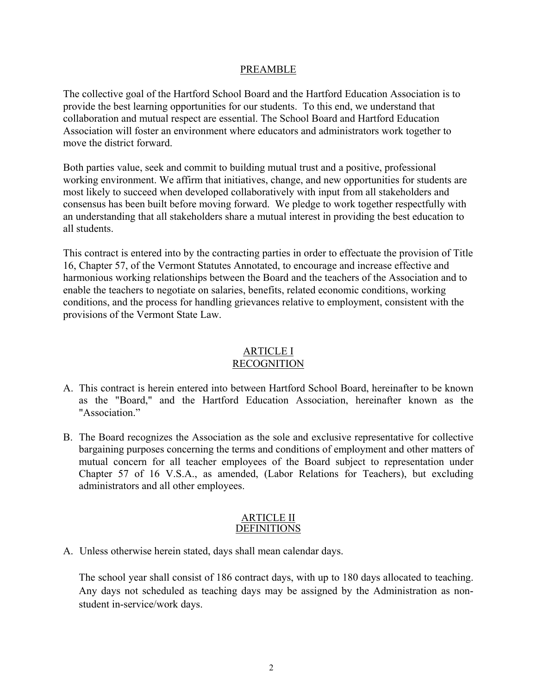#### PREAMBLE

The collective goal of the Hartford School Board and the Hartford Education Association is to provide the best learning opportunities for our students. To this end, we understand that collaboration and mutual respect are essential. The School Board and Hartford Education Association will foster an environment where educators and administrators work together to move the district forward.

Both parties value, seek and commit to building mutual trust and a positive, professional working environment. We affirm that initiatives, change, and new opportunities for students are most likely to succeed when developed collaboratively with input from all stakeholders and consensus has been built before moving forward. We pledge to work together respectfully with an understanding that all stakeholders share a mutual interest in providing the best education to all students.

This contract is entered into by the contracting parties in order to effectuate the provision of Title 16, Chapter 57, of the Vermont Statutes Annotated, to encourage and increase effective and harmonious working relationships between the Board and the teachers of the Association and to enable the teachers to negotiate on salaries, benefits, related economic conditions, working conditions, and the process for handling grievances relative to employment, consistent with the provisions of the Vermont State Law.

#### ARTICLE I RECOGNITION

- A. This contract is herein entered into between Hartford School Board, hereinafter to be known as the "Board," and the Hartford Education Association, hereinafter known as the "Association."
- B. The Board recognizes the Association as the sole and exclusive representative for collective bargaining purposes concerning the terms and conditions of employment and other matters of mutual concern for all teacher employees of the Board subject to representation under Chapter 57 of 16 V.S.A., as amended, (Labor Relations for Teachers), but excluding administrators and all other employees.

#### ARTICLE II DEFINITIONS

A. Unless otherwise herein stated, days shall mean calendar days.

The school year shall consist of 186 contract days, with up to 180 days allocated to teaching. Any days not scheduled as teaching days may be assigned by the Administration as nonstudent in-service/work days.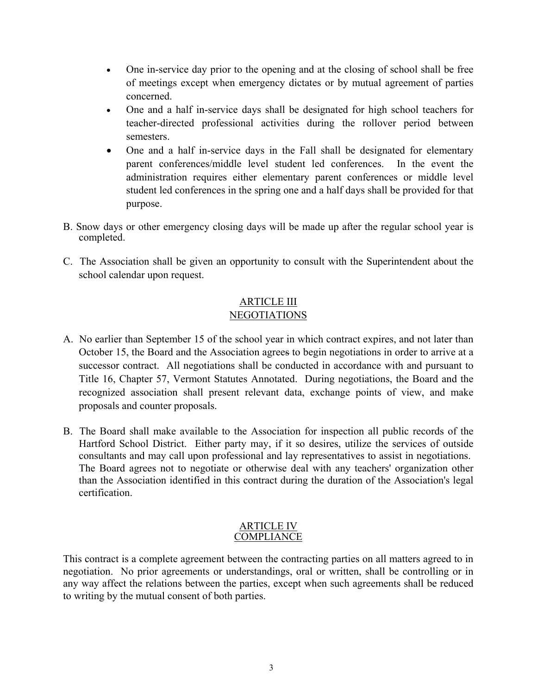- One in-service day prior to the opening and at the closing of school shall be free of meetings except when emergency dictates or by mutual agreement of parties concerned.
- One and a half in-service days shall be designated for high school teachers for teacher-directed professional activities during the rollover period between semesters.
- One and a half in-service days in the Fall shall be designated for elementary parent conferences/middle level student led conferences. In the event the administration requires either elementary parent conferences or middle level student led conferences in the spring one and a half days shall be provided for that purpose.
- B. Snow days or other emergency closing days will be made up after the regular school year is completed.
- C. The Association shall be given an opportunity to consult with the Superintendent about the school calendar upon request.

# ARTICLE III NEGOTIATIONS

- A. No earlier than September 15 of the school year in which contract expires, and not later than October 15, the Board and the Association agrees to begin negotiations in order to arrive at a successor contract. All negotiations shall be conducted in accordance with and pursuant to Title 16, Chapter 57, Vermont Statutes Annotated. During negotiations, the Board and the recognized association shall present relevant data, exchange points of view, and make proposals and counter proposals.
- B. The Board shall make available to the Association for inspection all public records of the Hartford School District. Either party may, if it so desires, utilize the services of outside consultants and may call upon professional and lay representatives to assist in negotiations. The Board agrees not to negotiate or otherwise deal with any teachers' organization other than the Association identified in this contract during the duration of the Association's legal certification.

#### ARTICLE IV **COMPLIANCE**

This contract is a complete agreement between the contracting parties on all matters agreed to in negotiation. No prior agreements or understandings, oral or written, shall be controlling or in any way affect the relations between the parties, except when such agreements shall be reduced to writing by the mutual consent of both parties.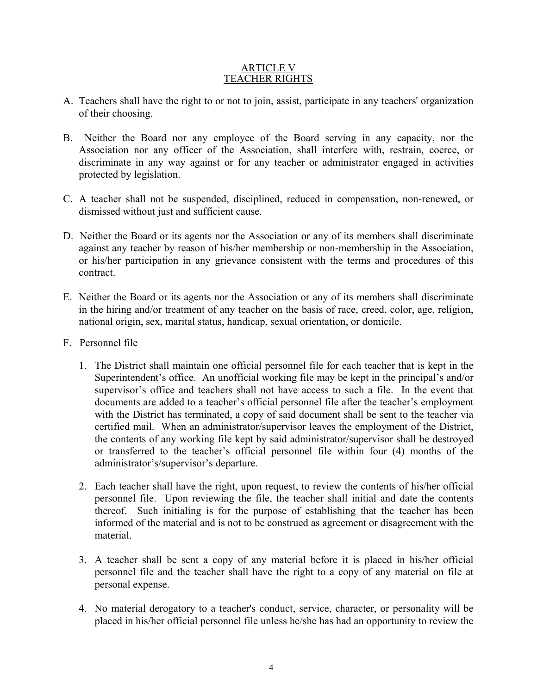#### ARTICLE V TEACHER RIGHTS

- A. Teachers shall have the right to or not to join, assist, participate in any teachers' organization of their choosing.
- B. Neither the Board nor any employee of the Board serving in any capacity, nor the Association nor any officer of the Association, shall interfere with, restrain, coerce, or discriminate in any way against or for any teacher or administrator engaged in activities protected by legislation.
- C. A teacher shall not be suspended, disciplined, reduced in compensation, non-renewed, or dismissed without just and sufficient cause.
- D. Neither the Board or its agents nor the Association or any of its members shall discriminate against any teacher by reason of his/her membership or non-membership in the Association, or his/her participation in any grievance consistent with the terms and procedures of this contract.
- E. Neither the Board or its agents nor the Association or any of its members shall discriminate in the hiring and/or treatment of any teacher on the basis of race, creed, color, age, religion, national origin, sex, marital status, handicap, sexual orientation, or domicile.
- F. Personnel file
	- 1. The District shall maintain one official personnel file for each teacher that is kept in the Superintendent's office. An unofficial working file may be kept in the principal's and/or supervisor's office and teachers shall not have access to such a file. In the event that documents are added to a teacher's official personnel file after the teacher's employment with the District has terminated, a copy of said document shall be sent to the teacher via certified mail. When an administrator/supervisor leaves the employment of the District, the contents of any working file kept by said administrator/supervisor shall be destroyed or transferred to the teacher's official personnel file within four (4) months of the administrator's/supervisor's departure.
	- 2. Each teacher shall have the right, upon request, to review the contents of his/her official personnel file. Upon reviewing the file, the teacher shall initial and date the contents thereof. Such initialing is for the purpose of establishing that the teacher has been informed of the material and is not to be construed as agreement or disagreement with the material.
	- 3. A teacher shall be sent a copy of any material before it is placed in his/her official personnel file and the teacher shall have the right to a copy of any material on file at personal expense.
	- 4. No material derogatory to a teacher's conduct, service, character, or personality will be placed in his/her official personnel file unless he/she has had an opportunity to review the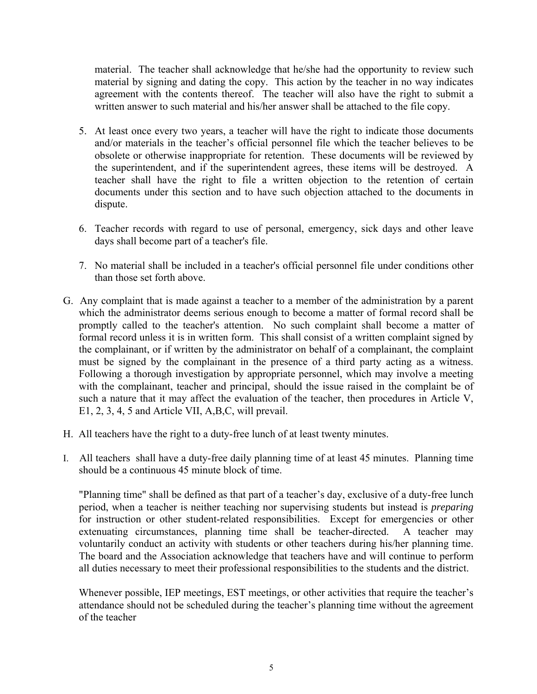material. The teacher shall acknowledge that he/she had the opportunity to review such material by signing and dating the copy. This action by the teacher in no way indicates agreement with the contents thereof. The teacher will also have the right to submit a written answer to such material and his/her answer shall be attached to the file copy.

- 5. At least once every two years, a teacher will have the right to indicate those documents and/or materials in the teacher's official personnel file which the teacher believes to be obsolete or otherwise inappropriate for retention. These documents will be reviewed by the superintendent, and if the superintendent agrees, these items will be destroyed. A teacher shall have the right to file a written objection to the retention of certain documents under this section and to have such objection attached to the documents in dispute.
- 6. Teacher records with regard to use of personal, emergency, sick days and other leave days shall become part of a teacher's file.
- 7. No material shall be included in a teacher's official personnel file under conditions other than those set forth above.
- G. Any complaint that is made against a teacher to a member of the administration by a parent which the administrator deems serious enough to become a matter of formal record shall be promptly called to the teacher's attention. No such complaint shall become a matter of formal record unless it is in written form. This shall consist of a written complaint signed by the complainant, or if written by the administrator on behalf of a complainant, the complaint must be signed by the complainant in the presence of a third party acting as a witness. Following a thorough investigation by appropriate personnel, which may involve a meeting with the complainant, teacher and principal, should the issue raised in the complaint be of such a nature that it may affect the evaluation of the teacher, then procedures in Article V, E1, 2, 3, 4, 5 and Article VII, A,B,C, will prevail.
- H. All teachers have the right to a duty-free lunch of at least twenty minutes.
- I. All teachers shall have a duty-free daily planning time of at least 45 minutes. Planning time should be a continuous 45 minute block of time.

"Planning time" shall be defined as that part of a teacher's day, exclusive of a duty-free lunch period, when a teacher is neither teaching nor supervising students but instead is *preparing* for instruction or other student-related responsibilities. Except for emergencies or other extenuating circumstances, planning time shall be teacher-directed. A teacher may voluntarily conduct an activity with students or other teachers during his/her planning time. The board and the Association acknowledge that teachers have and will continue to perform all duties necessary to meet their professional responsibilities to the students and the district.

Whenever possible, IEP meetings, EST meetings, or other activities that require the teacher's attendance should not be scheduled during the teacher's planning time without the agreement of the teacher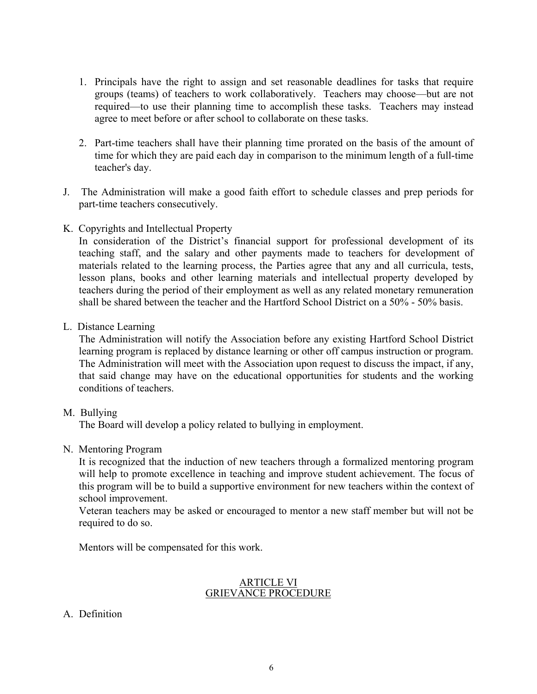- 1. Principals have the right to assign and set reasonable deadlines for tasks that require groups (teams) of teachers to work collaboratively. Teachers may choose—but are not required—to use their planning time to accomplish these tasks. Teachers may instead agree to meet before or after school to collaborate on these tasks.
- 2. Part-time teachers shall have their planning time prorated on the basis of the amount of time for which they are paid each day in comparison to the minimum length of a full-time teacher's day.
- J. The Administration will make a good faith effort to schedule classes and prep periods for part-time teachers consecutively.
- K. Copyrights and Intellectual Property

In consideration of the District's financial support for professional development of its teaching staff, and the salary and other payments made to teachers for development of materials related to the learning process, the Parties agree that any and all curricula, tests, lesson plans, books and other learning materials and intellectual property developed by teachers during the period of their employment as well as any related monetary remuneration shall be shared between the teacher and the Hartford School District on a 50% - 50% basis.

L. Distance Learning

The Administration will notify the Association before any existing Hartford School District learning program is replaced by distance learning or other off campus instruction or program. The Administration will meet with the Association upon request to discuss the impact, if any, that said change may have on the educational opportunities for students and the working conditions of teachers.

M. Bullying

The Board will develop a policy related to bullying in employment.

N. Mentoring Program

It is recognized that the induction of new teachers through a formalized mentoring program will help to promote excellence in teaching and improve student achievement. The focus of this program will be to build a supportive environment for new teachers within the context of school improvement.

Veteran teachers may be asked or encouraged to mentor a new staff member but will not be required to do so.

Mentors will be compensated for this work.

#### ARTICLE VI GRIEVANCE PROCEDURE

A. Definition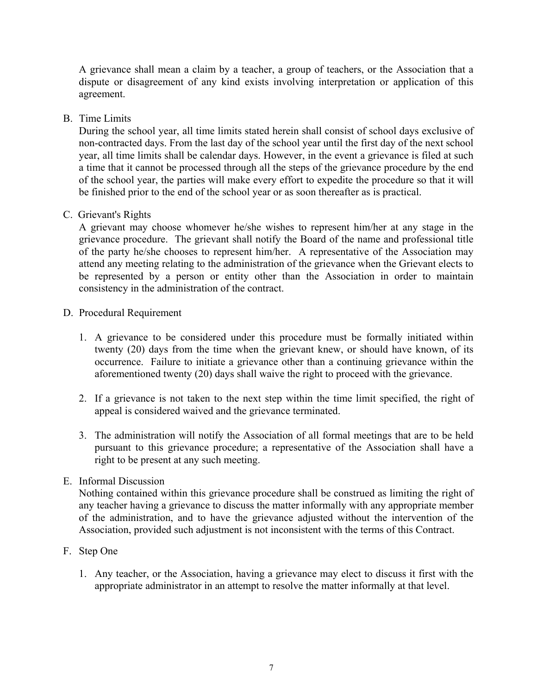A grievance shall mean a claim by a teacher, a group of teachers, or the Association that a dispute or disagreement of any kind exists involving interpretation or application of this agreement.

## B. Time Limits

 During the school year, all time limits stated herein shall consist of school days exclusive of non-contracted days. From the last day of the school year until the first day of the next school year, all time limits shall be calendar days. However, in the event a grievance is filed at such a time that it cannot be processed through all the steps of the grievance procedure by the end of the school year, the parties will make every effort to expedite the procedure so that it will be finished prior to the end of the school year or as soon thereafter as is practical.

## C. Grievant's Rights

A grievant may choose whomever he/she wishes to represent him/her at any stage in the grievance procedure. The grievant shall notify the Board of the name and professional title of the party he/she chooses to represent him/her. A representative of the Association may attend any meeting relating to the administration of the grievance when the Grievant elects to be represented by a person or entity other than the Association in order to maintain consistency in the administration of the contract.

#### D. Procedural Requirement

- 1. A grievance to be considered under this procedure must be formally initiated within twenty (20) days from the time when the grievant knew, or should have known, of its occurrence. Failure to initiate a grievance other than a continuing grievance within the aforementioned twenty (20) days shall waive the right to proceed with the grievance.
- 2. If a grievance is not taken to the next step within the time limit specified, the right of appeal is considered waived and the grievance terminated.
- 3. The administration will notify the Association of all formal meetings that are to be held pursuant to this grievance procedure; a representative of the Association shall have a right to be present at any such meeting.

#### E. Informal Discussion

 Nothing contained within this grievance procedure shall be construed as limiting the right of any teacher having a grievance to discuss the matter informally with any appropriate member of the administration, and to have the grievance adjusted without the intervention of the Association, provided such adjustment is not inconsistent with the terms of this Contract.

- F. Step One
	- 1. Any teacher, or the Association, having a grievance may elect to discuss it first with the appropriate administrator in an attempt to resolve the matter informally at that level.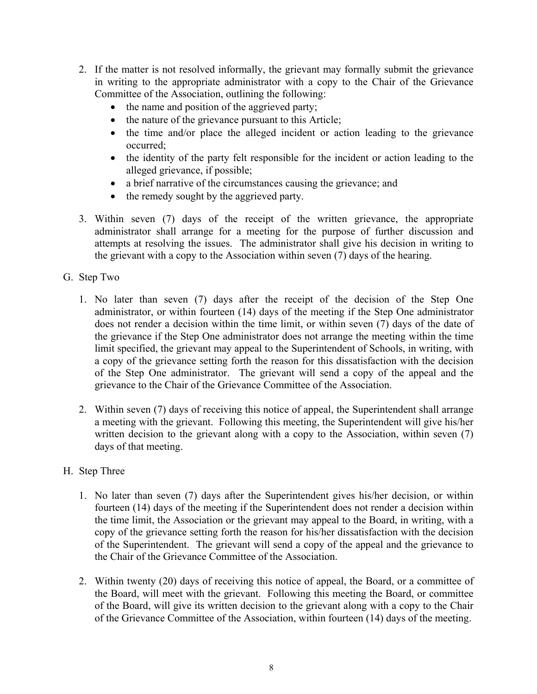- 2. If the matter is not resolved informally, the grievant may formally submit the grievance in writing to the appropriate administrator with a copy to the Chair of the Grievance Committee of the Association, outlining the following:
	- the name and position of the aggrieved party;
	- the nature of the grievance pursuant to this Article;
	- the time and/or place the alleged incident or action leading to the grievance occurred;
	- the identity of the party felt responsible for the incident or action leading to the alleged grievance, if possible;
	- a brief narrative of the circumstances causing the grievance; and
	- the remedy sought by the aggrieved party.
- 3. Within seven (7) days of the receipt of the written grievance, the appropriate administrator shall arrange for a meeting for the purpose of further discussion and attempts at resolving the issues. The administrator shall give his decision in writing to the grievant with a copy to the Association within seven (7) days of the hearing.
- G. Step Two
	- 1. No later than seven (7) days after the receipt of the decision of the Step One administrator, or within fourteen (14) days of the meeting if the Step One administrator does not render a decision within the time limit, or within seven (7) days of the date of the grievance if the Step One administrator does not arrange the meeting within the time limit specified, the grievant may appeal to the Superintendent of Schools, in writing, with a copy of the grievance setting forth the reason for this dissatisfaction with the decision of the Step One administrator. The grievant will send a copy of the appeal and the grievance to the Chair of the Grievance Committee of the Association.
	- 2. Within seven (7) days of receiving this notice of appeal, the Superintendent shall arrange a meeting with the grievant. Following this meeting, the Superintendent will give his/her written decision to the grievant along with a copy to the Association, within seven (7) days of that meeting.
- H. Step Three
	- 1. No later than seven (7) days after the Superintendent gives his/her decision, or within fourteen (14) days of the meeting if the Superintendent does not render a decision within the time limit, the Association or the grievant may appeal to the Board, in writing, with a copy of the grievance setting forth the reason for his/her dissatisfaction with the decision of the Superintendent. The grievant will send a copy of the appeal and the grievance to the Chair of the Grievance Committee of the Association.
	- 2. Within twenty (20) days of receiving this notice of appeal, the Board, or a committee of the Board, will meet with the grievant. Following this meeting the Board, or committee of the Board, will give its written decision to the grievant along with a copy to the Chair of the Grievance Committee of the Association, within fourteen (14) days of the meeting.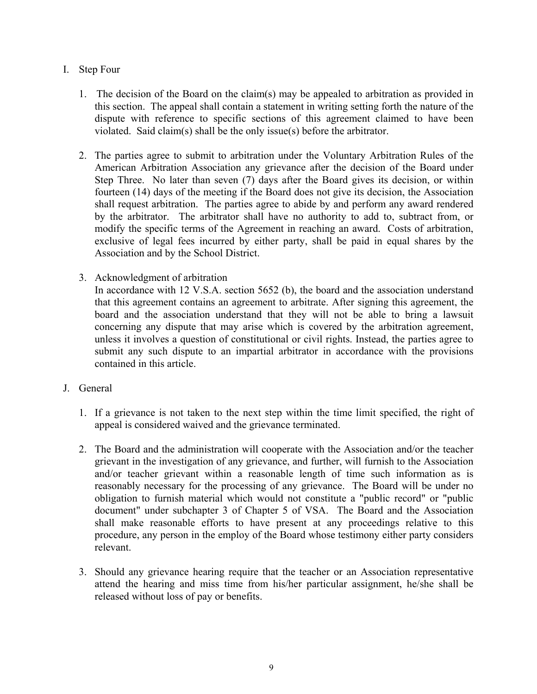## I. Step Four

- 1. The decision of the Board on the claim(s) may be appealed to arbitration as provided in this section. The appeal shall contain a statement in writing setting forth the nature of the dispute with reference to specific sections of this agreement claimed to have been violated. Said claim(s) shall be the only issue(s) before the arbitrator.
- 2. The parties agree to submit to arbitration under the Voluntary Arbitration Rules of the American Arbitration Association any grievance after the decision of the Board under Step Three. No later than seven (7) days after the Board gives its decision, or within fourteen (14) days of the meeting if the Board does not give its decision, the Association shall request arbitration. The parties agree to abide by and perform any award rendered by the arbitrator. The arbitrator shall have no authority to add to, subtract from, or modify the specific terms of the Agreement in reaching an award. Costs of arbitration, exclusive of legal fees incurred by either party, shall be paid in equal shares by the Association and by the School District.
- 3. Acknowledgment of arbitration

In accordance with 12 V.S.A. section 5652 (b), the board and the association understand that this agreement contains an agreement to arbitrate. After signing this agreement, the board and the association understand that they will not be able to bring a lawsuit concerning any dispute that may arise which is covered by the arbitration agreement, unless it involves a question of constitutional or civil rights. Instead, the parties agree to submit any such dispute to an impartial arbitrator in accordance with the provisions contained in this article.

- J. General
	- 1. If a grievance is not taken to the next step within the time limit specified, the right of appeal is considered waived and the grievance terminated.
	- 2. The Board and the administration will cooperate with the Association and/or the teacher grievant in the investigation of any grievance, and further, will furnish to the Association and/or teacher grievant within a reasonable length of time such information as is reasonably necessary for the processing of any grievance. The Board will be under no obligation to furnish material which would not constitute a "public record" or "public document" under subchapter 3 of Chapter 5 of VSA. The Board and the Association shall make reasonable efforts to have present at any proceedings relative to this procedure, any person in the employ of the Board whose testimony either party considers relevant.
	- 3. Should any grievance hearing require that the teacher or an Association representative attend the hearing and miss time from his/her particular assignment, he/she shall be released without loss of pay or benefits.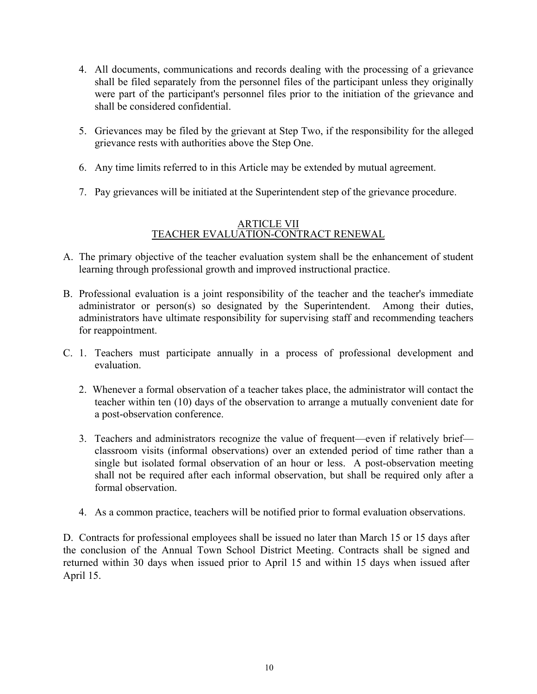- 4. All documents, communications and records dealing with the processing of a grievance shall be filed separately from the personnel files of the participant unless they originally were part of the participant's personnel files prior to the initiation of the grievance and shall be considered confidential.
- 5. Grievances may be filed by the grievant at Step Two, if the responsibility for the alleged grievance rests with authorities above the Step One.
- 6. Any time limits referred to in this Article may be extended by mutual agreement.
- 7. Pay grievances will be initiated at the Superintendent step of the grievance procedure.

### ARTICLE VII TEACHER EVALUATION-CONTRACT RENEWAL

- A. The primary objective of the teacher evaluation system shall be the enhancement of student learning through professional growth and improved instructional practice.
- B. Professional evaluation is a joint responsibility of the teacher and the teacher's immediate administrator or person(s) so designated by the Superintendent. Among their duties, administrators have ultimate responsibility for supervising staff and recommending teachers for reappointment.
- C. 1. Teachers must participate annually in a process of professional development and evaluation.
	- 2. Whenever a formal observation of a teacher takes place, the administrator will contact the teacher within ten (10) days of the observation to arrange a mutually convenient date for a post-observation conference.
	- 3. Teachers and administrators recognize the value of frequent—even if relatively brief classroom visits (informal observations) over an extended period of time rather than a single but isolated formal observation of an hour or less. A post-observation meeting shall not be required after each informal observation, but shall be required only after a formal observation.
	- 4. As a common practice, teachers will be notified prior to formal evaluation observations.

D. Contracts for professional employees shall be issued no later than March 15 or 15 days after the conclusion of the Annual Town School District Meeting. Contracts shall be signed and returned within 30 days when issued prior to April 15 and within 15 days when issued after April 15.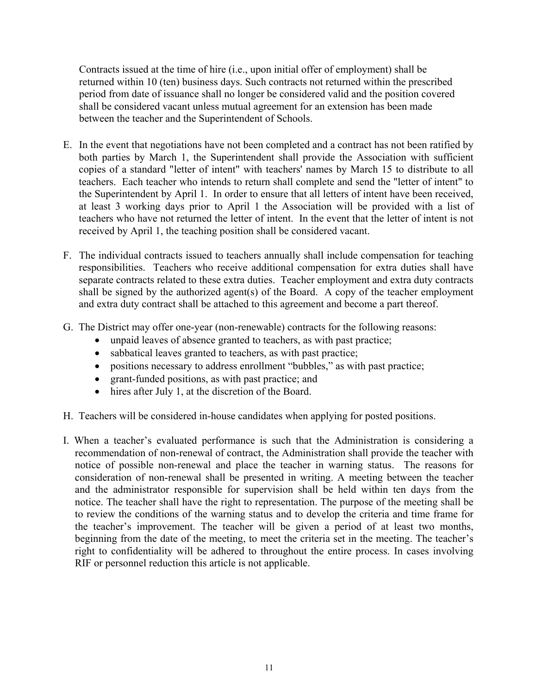Contracts issued at the time of hire (i.e., upon initial offer of employment) shall be returned within 10 (ten) business days. Such contracts not returned within the prescribed period from date of issuance shall no longer be considered valid and the position covered shall be considered vacant unless mutual agreement for an extension has been made between the teacher and the Superintendent of Schools.

- E. In the event that negotiations have not been completed and a contract has not been ratified by both parties by March 1, the Superintendent shall provide the Association with sufficient copies of a standard "letter of intent" with teachers' names by March 15 to distribute to all teachers. Each teacher who intends to return shall complete and send the "letter of intent" to the Superintendent by April 1. In order to ensure that all letters of intent have been received, at least 3 working days prior to April 1 the Association will be provided with a list of teachers who have not returned the letter of intent. In the event that the letter of intent is not received by April 1, the teaching position shall be considered vacant.
- F. The individual contracts issued to teachers annually shall include compensation for teaching responsibilities. Teachers who receive additional compensation for extra duties shall have separate contracts related to these extra duties. Teacher employment and extra duty contracts shall be signed by the authorized agent(s) of the Board. A copy of the teacher employment and extra duty contract shall be attached to this agreement and become a part thereof.
- G. The District may offer one-year (non-renewable) contracts for the following reasons:
	- unpaid leaves of absence granted to teachers, as with past practice;
	- sabbatical leaves granted to teachers, as with past practice;
	- positions necessary to address enrollment "bubbles," as with past practice;
	- grant-funded positions, as with past practice; and
	- hires after July 1, at the discretion of the Board.
- H. Teachers will be considered in-house candidates when applying for posted positions.
- I. When a teacher's evaluated performance is such that the Administration is considering a recommendation of non-renewal of contract, the Administration shall provide the teacher with notice of possible non-renewal and place the teacher in warning status. The reasons for consideration of non-renewal shall be presented in writing. A meeting between the teacher and the administrator responsible for supervision shall be held within ten days from the notice. The teacher shall have the right to representation. The purpose of the meeting shall be to review the conditions of the warning status and to develop the criteria and time frame for the teacher's improvement. The teacher will be given a period of at least two months, beginning from the date of the meeting, to meet the criteria set in the meeting. The teacher's right to confidentiality will be adhered to throughout the entire process. In cases involving RIF or personnel reduction this article is not applicable.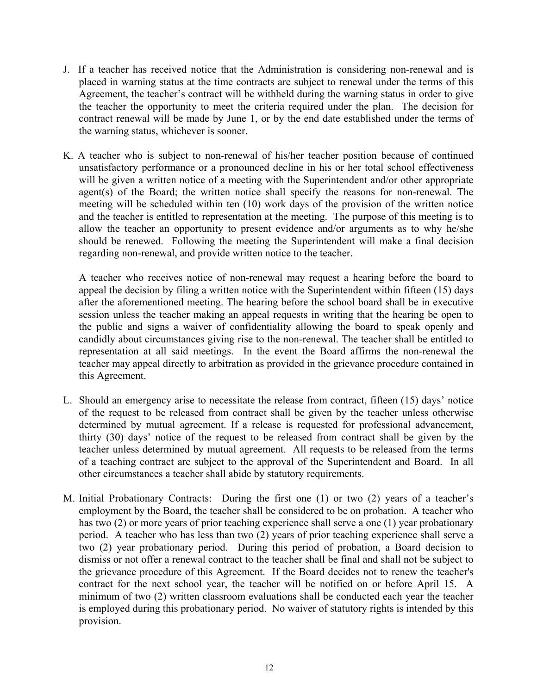- J. If a teacher has received notice that the Administration is considering non-renewal and is placed in warning status at the time contracts are subject to renewal under the terms of this Agreement, the teacher's contract will be withheld during the warning status in order to give the teacher the opportunity to meet the criteria required under the plan. The decision for contract renewal will be made by June 1, or by the end date established under the terms of the warning status, whichever is sooner.
- K. A teacher who is subject to non-renewal of his/her teacher position because of continued unsatisfactory performance or a pronounced decline in his or her total school effectiveness will be given a written notice of a meeting with the Superintendent and/or other appropriate agent(s) of the Board; the written notice shall specify the reasons for non-renewal. The meeting will be scheduled within ten (10) work days of the provision of the written notice and the teacher is entitled to representation at the meeting. The purpose of this meeting is to allow the teacher an opportunity to present evidence and/or arguments as to why he/she should be renewed. Following the meeting the Superintendent will make a final decision regarding non-renewal, and provide written notice to the teacher.

A teacher who receives notice of non-renewal may request a hearing before the board to appeal the decision by filing a written notice with the Superintendent within fifteen (15) days after the aforementioned meeting. The hearing before the school board shall be in executive session unless the teacher making an appeal requests in writing that the hearing be open to the public and signs a waiver of confidentiality allowing the board to speak openly and candidly about circumstances giving rise to the non-renewal. The teacher shall be entitled to representation at all said meetings. In the event the Board affirms the non-renewal the teacher may appeal directly to arbitration as provided in the grievance procedure contained in this Agreement.

- L. Should an emergency arise to necessitate the release from contract, fifteen (15) days' notice of the request to be released from contract shall be given by the teacher unless otherwise determined by mutual agreement. If a release is requested for professional advancement, thirty (30) days' notice of the request to be released from contract shall be given by the teacher unless determined by mutual agreement. All requests to be released from the terms of a teaching contract are subject to the approval of the Superintendent and Board. In all other circumstances a teacher shall abide by statutory requirements.
- M. Initial Probationary Contracts: During the first one (1) or two (2) years of a teacher's employment by the Board, the teacher shall be considered to be on probation. A teacher who has two (2) or more years of prior teaching experience shall serve a one (1) year probationary period. A teacher who has less than two (2) years of prior teaching experience shall serve a two (2) year probationary period. During this period of probation, a Board decision to dismiss or not offer a renewal contract to the teacher shall be final and shall not be subject to the grievance procedure of this Agreement. If the Board decides not to renew the teacher's contract for the next school year, the teacher will be notified on or before April 15. A minimum of two (2) written classroom evaluations shall be conducted each year the teacher is employed during this probationary period. No waiver of statutory rights is intended by this provision.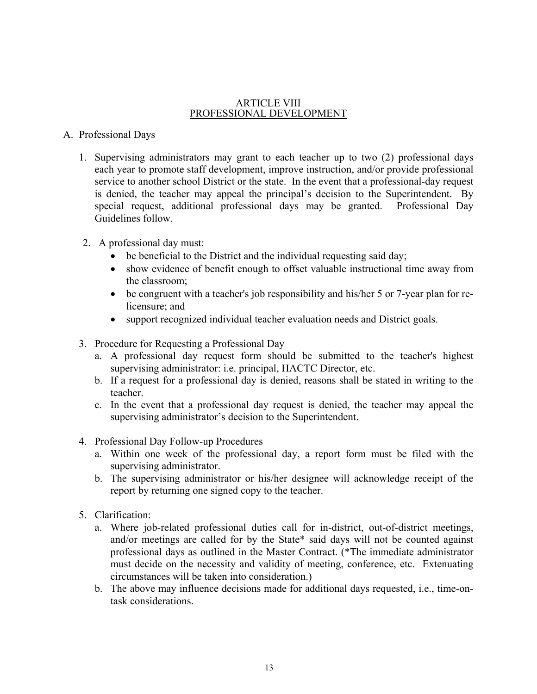#### ARTICLE VIII PROFESSIONAL DEVELOPMENT

## A. Professional Days

- 1. Supervising administrators may grant to each teacher up to two (2) professional days each year to promote staff development, improve instruction, and/or provide professional service to another school District or the state. In the event that a professional-day request is denied, the teacher may appeal the principal's decision to the Superintendent. By special request, additional professional days may be granted. Professional Day Guidelines follow.
- 2. A professional day must:
	- be beneficial to the District and the individual requesting said day;
	- show evidence of benefit enough to offset valuable instructional time away from the classroom;
	- be congruent with a teacher's job responsibility and his/her 5 or 7-year plan for relicensure; and
	- support recognized individual teacher evaluation needs and District goals.
- 3. Procedure for Requesting a Professional Day
	- a. A professional day request form should be submitted to the teacher's highest supervising administrator: i.e. principal, HACTC Director, etc.
	- b. If a request for a professional day is denied, reasons shall be stated in writing to the teacher.
	- c. In the event that a professional day request is denied, the teacher may appeal the supervising administrator's decision to the Superintendent.
- 4. Professional Day Follow-up Procedures
	- a. Within one week of the professional day, a report form must be filed with the supervising administrator.
	- b. The supervising administrator or his/her designee will acknowledge receipt of the report by returning one signed copy to the teacher.
- 5. Clarification:
	- a. Where job-related professional duties call for in-district, out-of-district meetings, and/or meetings are called for by the State\* said days will not be counted against professional days as outlined in the Master Contract. (\*The immediate administrator must decide on the necessity and validity of meeting, conference, etc. Extenuating circumstances will be taken into consideration.)
	- b. The above may influence decisions made for additional days requested, i.e., time-ontask considerations.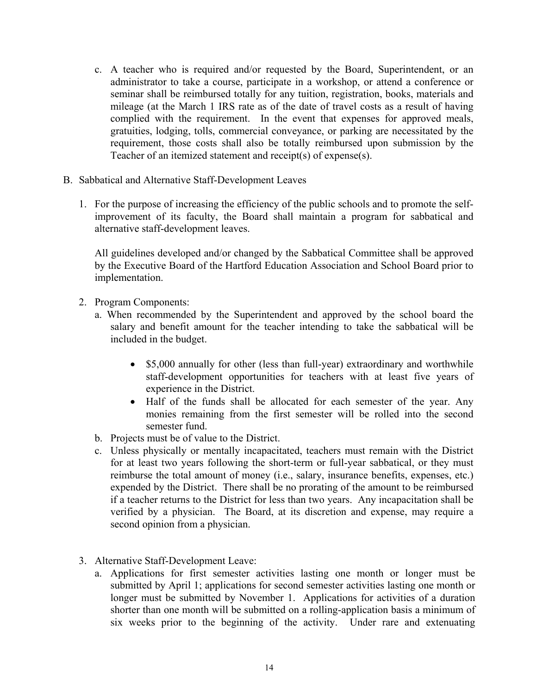- c. A teacher who is required and/or requested by the Board, Superintendent, or an administrator to take a course, participate in a workshop, or attend a conference or seminar shall be reimbursed totally for any tuition, registration, books, materials and mileage (at the March 1 IRS rate as of the date of travel costs as a result of having complied with the requirement. In the event that expenses for approved meals, gratuities, lodging, tolls, commercial conveyance, or parking are necessitated by the requirement, those costs shall also be totally reimbursed upon submission by the Teacher of an itemized statement and receipt(s) of expense(s).
- B. Sabbatical and Alternative Staff-Development Leaves
	- 1. For the purpose of increasing the efficiency of the public schools and to promote the selfimprovement of its faculty, the Board shall maintain a program for sabbatical and alternative staff-development leaves.

All guidelines developed and/or changed by the Sabbatical Committee shall be approved by the Executive Board of the Hartford Education Association and School Board prior to implementation.

- 2. Program Components:
	- a. When recommended by the Superintendent and approved by the school board the salary and benefit amount for the teacher intending to take the sabbatical will be included in the budget.
		- \$5,000 annually for other (less than full-year) extraordinary and worthwhile staff-development opportunities for teachers with at least five years of experience in the District.
		- Half of the funds shall be allocated for each semester of the year. Any monies remaining from the first semester will be rolled into the second semester fund.
	- b. Projects must be of value to the District.
	- c. Unless physically or mentally incapacitated, teachers must remain with the District for at least two years following the short-term or full-year sabbatical, or they must reimburse the total amount of money (i.e., salary, insurance benefits, expenses, etc.) expended by the District. There shall be no prorating of the amount to be reimbursed if a teacher returns to the District for less than two years. Any incapacitation shall be verified by a physician. The Board, at its discretion and expense, may require a second opinion from a physician.
- 3. Alternative Staff-Development Leave:
	- a. Applications for first semester activities lasting one month or longer must be submitted by April 1; applications for second semester activities lasting one month or longer must be submitted by November 1. Applications for activities of a duration shorter than one month will be submitted on a rolling-application basis a minimum of six weeks prior to the beginning of the activity. Under rare and extenuating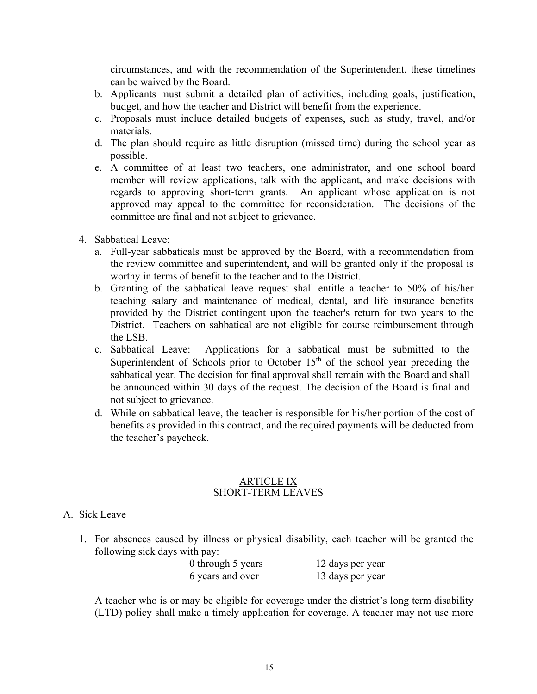circumstances, and with the recommendation of the Superintendent, these timelines can be waived by the Board.

- b. Applicants must submit a detailed plan of activities, including goals, justification, budget, and how the teacher and District will benefit from the experience.
- c. Proposals must include detailed budgets of expenses, such as study, travel, and/or materials.
- d. The plan should require as little disruption (missed time) during the school year as possible.
- e. A committee of at least two teachers, one administrator, and one school board member will review applications, talk with the applicant, and make decisions with regards to approving short-term grants. An applicant whose application is not approved may appeal to the committee for reconsideration. The decisions of the committee are final and not subject to grievance.
- 4. Sabbatical Leave:
	- a. Full-year sabbaticals must be approved by the Board, with a recommendation from the review committee and superintendent, and will be granted only if the proposal is worthy in terms of benefit to the teacher and to the District.
	- b. Granting of the sabbatical leave request shall entitle a teacher to 50% of his/her teaching salary and maintenance of medical, dental, and life insurance benefits provided by the District contingent upon the teacher's return for two years to the District. Teachers on sabbatical are not eligible for course reimbursement through the LSB.
	- c. Sabbatical Leave: Applications for a sabbatical must be submitted to the Superintendent of Schools prior to October  $15<sup>th</sup>$  of the school year preceding the sabbatical year. The decision for final approval shall remain with the Board and shall be announced within 30 days of the request. The decision of the Board is final and not subject to grievance.
	- d. While on sabbatical leave, the teacher is responsible for his/her portion of the cost of benefits as provided in this contract, and the required payments will be deducted from the teacher's paycheck.

#### ARTICLE IX SHORT-TERM LEAVES

- A. Sick Leave
	- 1. For absences caused by illness or physical disability, each teacher will be granted the following sick days with pay:

| 0 through 5 years | 12 days per year |
|-------------------|------------------|
| 6 years and over  | 13 days per year |

A teacher who is or may be eligible for coverage under the district's long term disability (LTD) policy shall make a timely application for coverage. A teacher may not use more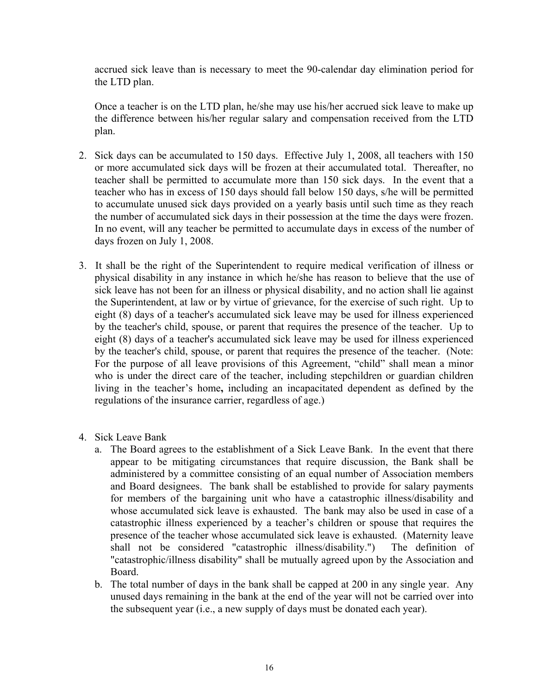accrued sick leave than is necessary to meet the 90-calendar day elimination period for the LTD plan.

Once a teacher is on the LTD plan, he/she may use his/her accrued sick leave to make up the difference between his/her regular salary and compensation received from the LTD plan.

- 2. Sick days can be accumulated to 150 days. Effective July 1, 2008, all teachers with 150 or more accumulated sick days will be frozen at their accumulated total. Thereafter, no teacher shall be permitted to accumulate more than 150 sick days. In the event that a teacher who has in excess of 150 days should fall below 150 days, s/he will be permitted to accumulate unused sick days provided on a yearly basis until such time as they reach the number of accumulated sick days in their possession at the time the days were frozen. In no event, will any teacher be permitted to accumulate days in excess of the number of days frozen on July 1, 2008.
- 3. It shall be the right of the Superintendent to require medical verification of illness or physical disability in any instance in which he/she has reason to believe that the use of sick leave has not been for an illness or physical disability, and no action shall lie against the Superintendent, at law or by virtue of grievance, for the exercise of such right. Up to eight (8) days of a teacher's accumulated sick leave may be used for illness experienced by the teacher's child, spouse, or parent that requires the presence of the teacher. Up to eight (8) days of a teacher's accumulated sick leave may be used for illness experienced by the teacher's child, spouse, or parent that requires the presence of the teacher. (Note: For the purpose of all leave provisions of this Agreement, "child" shall mean a minor who is under the direct care of the teacher, including stepchildren or guardian children living in the teacher's home**,** including an incapacitated dependent as defined by the regulations of the insurance carrier, regardless of age.)
- 4. Sick Leave Bank
	- a. The Board agrees to the establishment of a Sick Leave Bank. In the event that there appear to be mitigating circumstances that require discussion, the Bank shall be administered by a committee consisting of an equal number of Association members and Board designees. The bank shall be established to provide for salary payments for members of the bargaining unit who have a catastrophic illness/disability and whose accumulated sick leave is exhausted. The bank may also be used in case of a catastrophic illness experienced by a teacher's children or spouse that requires the presence of the teacher whose accumulated sick leave is exhausted. (Maternity leave shall not be considered "catastrophic illness/disability.") The definition of "catastrophic/illness disability" shall be mutually agreed upon by the Association and Board.
	- b. The total number of days in the bank shall be capped at 200 in any single year. Any unused days remaining in the bank at the end of the year will not be carried over into the subsequent year (i.e., a new supply of days must be donated each year).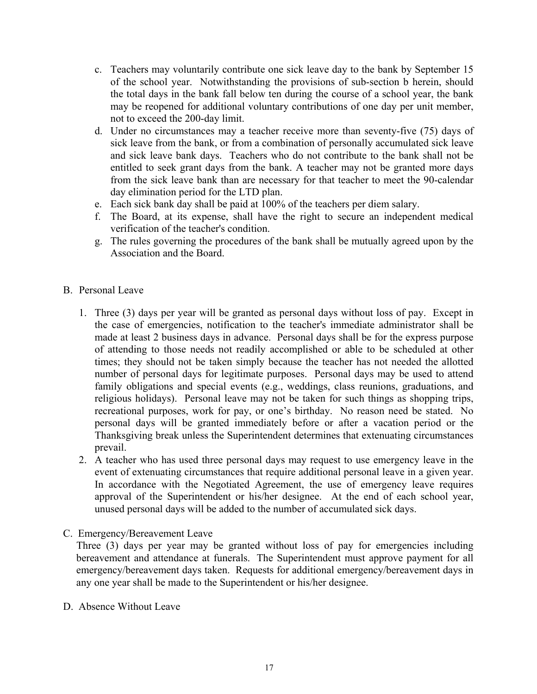- c. Teachers may voluntarily contribute one sick leave day to the bank by September 15 of the school year. Notwithstanding the provisions of sub-section b herein, should the total days in the bank fall below ten during the course of a school year, the bank may be reopened for additional voluntary contributions of one day per unit member, not to exceed the 200-day limit.
- d. Under no circumstances may a teacher receive more than seventy-five (75) days of sick leave from the bank, or from a combination of personally accumulated sick leave and sick leave bank days. Teachers who do not contribute to the bank shall not be entitled to seek grant days from the bank. A teacher may not be granted more days from the sick leave bank than are necessary for that teacher to meet the 90-calendar day elimination period for the LTD plan.
- e. Each sick bank day shall be paid at 100% of the teachers per diem salary.
- f. The Board, at its expense, shall have the right to secure an independent medical verification of the teacher's condition.
- g. The rules governing the procedures of the bank shall be mutually agreed upon by the Association and the Board.
- B. Personal Leave
	- 1. Three (3) days per year will be granted as personal days without loss of pay. Except in the case of emergencies, notification to the teacher's immediate administrator shall be made at least 2 business days in advance. Personal days shall be for the express purpose of attending to those needs not readily accomplished or able to be scheduled at other times; they should not be taken simply because the teacher has not needed the allotted number of personal days for legitimate purposes. Personal days may be used to attend family obligations and special events (e.g., weddings, class reunions, graduations, and religious holidays). Personal leave may not be taken for such things as shopping trips, recreational purposes, work for pay, or one's birthday. No reason need be stated. No personal days will be granted immediately before or after a vacation period or the Thanksgiving break unless the Superintendent determines that extenuating circumstances prevail.
	- 2. A teacher who has used three personal days may request to use emergency leave in the event of extenuating circumstances that require additional personal leave in a given year. In accordance with the Negotiated Agreement, the use of emergency leave requires approval of the Superintendent or his/her designee. At the end of each school year, unused personal days will be added to the number of accumulated sick days.
- C. Emergency/Bereavement Leave

Three (3) days per year may be granted without loss of pay for emergencies including bereavement and attendance at funerals. The Superintendent must approve payment for all emergency/bereavement days taken. Requests for additional emergency/bereavement days in any one year shall be made to the Superintendent or his/her designee.

D. Absence Without Leave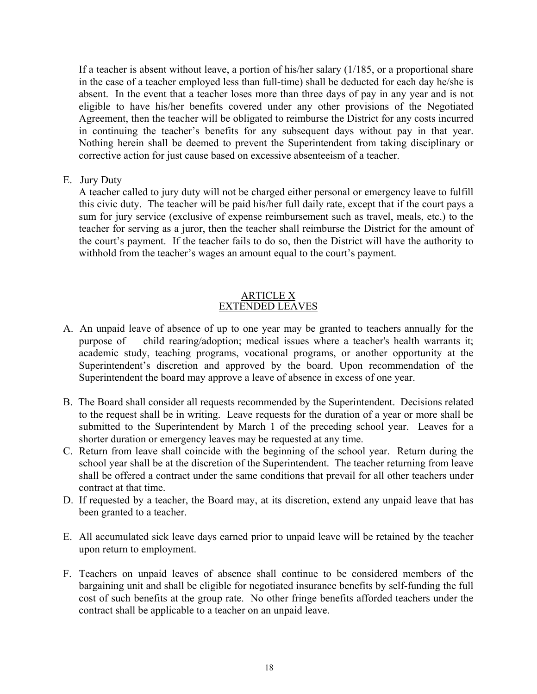If a teacher is absent without leave, a portion of his/her salary (1/185, or a proportional share in the case of a teacher employed less than full-time) shall be deducted for each day he/she is absent. In the event that a teacher loses more than three days of pay in any year and is not eligible to have his/her benefits covered under any other provisions of the Negotiated Agreement, then the teacher will be obligated to reimburse the District for any costs incurred in continuing the teacher's benefits for any subsequent days without pay in that year. Nothing herein shall be deemed to prevent the Superintendent from taking disciplinary or corrective action for just cause based on excessive absenteeism of a teacher.

E. Jury Duty

A teacher called to jury duty will not be charged either personal or emergency leave to fulfill this civic duty. The teacher will be paid his/her full daily rate, except that if the court pays a sum for jury service (exclusive of expense reimbursement such as travel, meals, etc.) to the teacher for serving as a juror, then the teacher shall reimburse the District for the amount of the court's payment. If the teacher fails to do so, then the District will have the authority to withhold from the teacher's wages an amount equal to the court's payment.

### ARTICLE X EXTENDED LEAVES

- A. An unpaid leave of absence of up to one year may be granted to teachers annually for the purpose of child rearing/adoption; medical issues where a teacher's health warrants it; academic study, teaching programs, vocational programs, or another opportunity at the Superintendent's discretion and approved by the board. Upon recommendation of the Superintendent the board may approve a leave of absence in excess of one year.
- B. The Board shall consider all requests recommended by the Superintendent. Decisions related to the request shall be in writing. Leave requests for the duration of a year or more shall be submitted to the Superintendent by March 1 of the preceding school year. Leaves for a shorter duration or emergency leaves may be requested at any time.
- C. Return from leave shall coincide with the beginning of the school year. Return during the school year shall be at the discretion of the Superintendent. The teacher returning from leave shall be offered a contract under the same conditions that prevail for all other teachers under contract at that time.
- D. If requested by a teacher, the Board may, at its discretion, extend any unpaid leave that has been granted to a teacher.
- E. All accumulated sick leave days earned prior to unpaid leave will be retained by the teacher upon return to employment.
- F. Teachers on unpaid leaves of absence shall continue to be considered members of the bargaining unit and shall be eligible for negotiated insurance benefits by self-funding the full cost of such benefits at the group rate. No other fringe benefits afforded teachers under the contract shall be applicable to a teacher on an unpaid leave.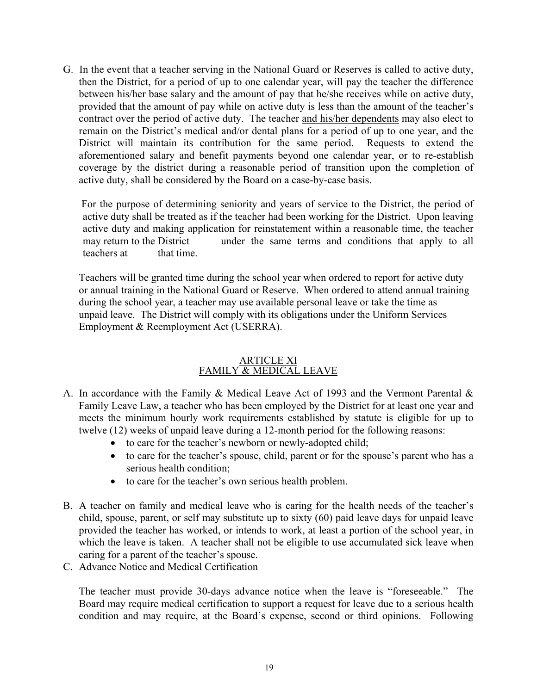G. In the event that a teacher serving in the National Guard or Reserves is called to active duty, then the District, for a period of up to one calendar year, will pay the teacher the difference between his/her base salary and the amount of pay that he/she receives while on active duty, provided that the amount of pay while on active duty is less than the amount of the teacher's contract over the period of active duty. The teacher and his/her dependents may also elect to remain on the District's medical and/or dental plans for a period of up to one year, and the District will maintain its contribution for the same period. Requests to extend the aforementioned salary and benefit payments beyond one calendar year, or to re-establish coverage by the district during a reasonable period of transition upon the completion of active duty, shall be considered by the Board on a case-by-case basis.

 For the purpose of determining seniority and years of service to the District, the period of active duty shall be treated as if the teacher had been working for the District. Upon leaving active duty and making application for reinstatement within a reasonable time, the teacher may return to the District under the same terms and conditions that apply to all teachers at that time.

 Teachers will be granted time during the school year when ordered to report for active duty or annual training in the National Guard or Reserve. When ordered to attend annual training during the school year, a teacher may use available personal leave or take the time as unpaid leave. The District will comply with its obligations under the Uniform Services Employment & Reemployment Act (USERRA).

#### ARTICLE XI FAMILY & MEDICAL LEAVE

- A. In accordance with the Family & Medical Leave Act of 1993 and the Vermont Parental & Family Leave Law, a teacher who has been employed by the District for at least one year and meets the minimum hourly work requirements established by statute is eligible for up to twelve (12) weeks of unpaid leave during a 12-month period for the following reasons:
	- to care for the teacher's newborn or newly-adopted child;
	- to care for the teacher's spouse, child, parent or for the spouse's parent who has a serious health condition;
	- to care for the teacher's own serious health problem.
- B. A teacher on family and medical leave who is caring for the health needs of the teacher's child, spouse, parent, or self may substitute up to sixty (60) paid leave days for unpaid leave provided the teacher has worked, or intends to work, at least a portion of the school year, in which the leave is taken. A teacher shall not be eligible to use accumulated sick leave when caring for a parent of the teacher's spouse.
- C. Advance Notice and Medical Certification

 The teacher must provide 30-days advance notice when the leave is "foreseeable." The Board may require medical certification to support a request for leave due to a serious health condition and may require, at the Board's expense, second or third opinions. Following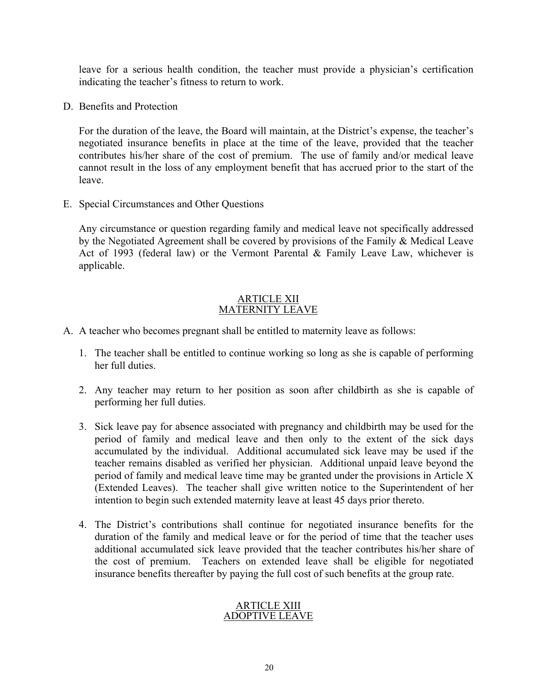leave for a serious health condition, the teacher must provide a physician's certification indicating the teacher's fitness to return to work.

D. Benefits and Protection

 For the duration of the leave, the Board will maintain, at the District's expense, the teacher's negotiated insurance benefits in place at the time of the leave, provided that the teacher contributes his/her share of the cost of premium. The use of family and/or medical leave cannot result in the loss of any employment benefit that has accrued prior to the start of the leave.

E. Special Circumstances and Other Questions

 Any circumstance or question regarding family and medical leave not specifically addressed by the Negotiated Agreement shall be covered by provisions of the Family & Medical Leave Act of 1993 (federal law) or the Vermont Parental & Family Leave Law, whichever is applicable.

#### ARTICLE XII MATERNITY LEAVE

- A. A teacher who becomes pregnant shall be entitled to maternity leave as follows:
	- 1. The teacher shall be entitled to continue working so long as she is capable of performing her full duties.
	- 2. Any teacher may return to her position as soon after childbirth as she is capable of performing her full duties.
	- 3. Sick leave pay for absence associated with pregnancy and childbirth may be used for the period of family and medical leave and then only to the extent of the sick days accumulated by the individual. Additional accumulated sick leave may be used if the teacher remains disabled as verified her physician. Additional unpaid leave beyond the period of family and medical leave time may be granted under the provisions in Article X (Extended Leaves). The teacher shall give written notice to the Superintendent of her intention to begin such extended maternity leave at least 45 days prior thereto.
	- 4. The District's contributions shall continue for negotiated insurance benefits for the duration of the family and medical leave or for the period of time that the teacher uses additional accumulated sick leave provided that the teacher contributes his/her share of the cost of premium. Teachers on extended leave shall be eligible for negotiated insurance benefits thereafter by paying the full cost of such benefits at the group rate.

#### ARTICLE XIII ADOPTIVE LEAVE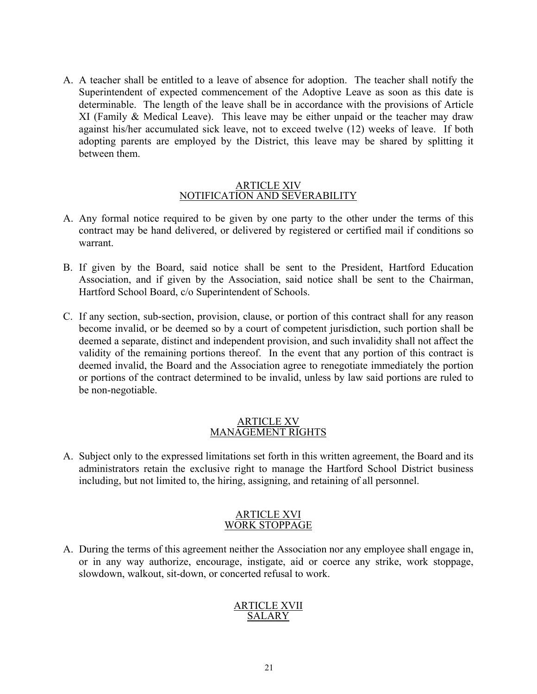A. A teacher shall be entitled to a leave of absence for adoption. The teacher shall notify the Superintendent of expected commencement of the Adoptive Leave as soon as this date is determinable. The length of the leave shall be in accordance with the provisions of Article XI (Family & Medical Leave). This leave may be either unpaid or the teacher may draw against his/her accumulated sick leave, not to exceed twelve (12) weeks of leave. If both adopting parents are employed by the District, this leave may be shared by splitting it between them.

#### ARTICLE XIV NOTIFICATION AND SEVERABILITY

- A. Any formal notice required to be given by one party to the other under the terms of this contract may be hand delivered, or delivered by registered or certified mail if conditions so warrant.
- B. If given by the Board, said notice shall be sent to the President, Hartford Education Association, and if given by the Association, said notice shall be sent to the Chairman, Hartford School Board, c/o Superintendent of Schools.
- C. If any section, sub-section, provision, clause, or portion of this contract shall for any reason become invalid, or be deemed so by a court of competent jurisdiction, such portion shall be deemed a separate, distinct and independent provision, and such invalidity shall not affect the validity of the remaining portions thereof. In the event that any portion of this contract is deemed invalid, the Board and the Association agree to renegotiate immediately the portion or portions of the contract determined to be invalid, unless by law said portions are ruled to be non-negotiable.

#### ARTICLE XV MANAGEMENT RIGHTS

A. Subject only to the expressed limitations set forth in this written agreement, the Board and its administrators retain the exclusive right to manage the Hartford School District business including, but not limited to, the hiring, assigning, and retaining of all personnel.

#### ARTICLE XVI WORK STOPPAGE

A. During the terms of this agreement neither the Association nor any employee shall engage in, or in any way authorize, encourage, instigate, aid or coerce any strike, work stoppage, slowdown, walkout, sit-down, or concerted refusal to work.

#### ARTICLE XVII SALARY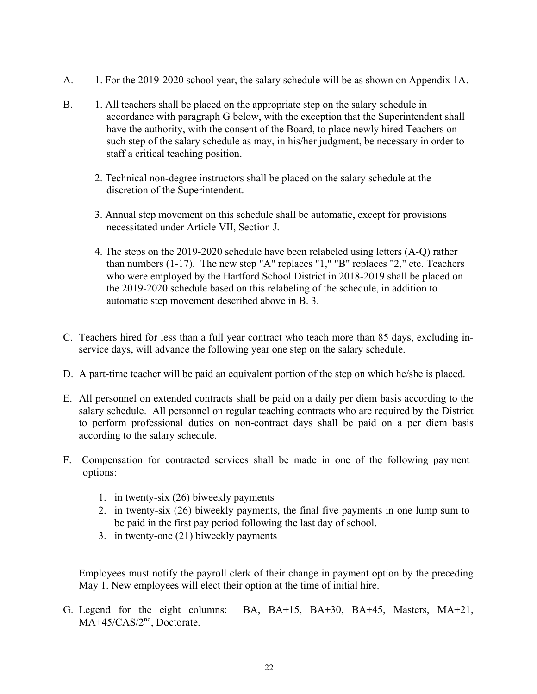- A. 1. For the 2019-2020 school year, the salary schedule will be as shown on Appendix 1A.
- B. 1. All teachers shall be placed on the appropriate step on the salary schedule in accordance with paragraph G below, with the exception that the Superintendent shall have the authority, with the consent of the Board, to place newly hired Teachers on such step of the salary schedule as may, in his/her judgment, be necessary in order to staff a critical teaching position.
	- 2. Technical non-degree instructors shall be placed on the salary schedule at the discretion of the Superintendent.
	- 3. Annual step movement on this schedule shall be automatic, except for provisions necessitated under Article VII, Section J.
	- 4. The steps on the 2019-2020 schedule have been relabeled using letters (A-Q) rather than numbers (1-17). The new step "A" replaces "1," "B" replaces "2," etc. Teachers who were employed by the Hartford School District in 2018-2019 shall be placed on the 2019-2020 schedule based on this relabeling of the schedule, in addition to automatic step movement described above in B. 3.
- C. Teachers hired for less than a full year contract who teach more than 85 days, excluding inservice days, will advance the following year one step on the salary schedule.
- D. A part-time teacher will be paid an equivalent portion of the step on which he/she is placed.
- E. All personnel on extended contracts shall be paid on a daily per diem basis according to the salary schedule. All personnel on regular teaching contracts who are required by the District to perform professional duties on non-contract days shall be paid on a per diem basis according to the salary schedule.
- F. Compensation for contracted services shall be made in one of the following payment options:
	- 1. in twenty-six (26) biweekly payments
	- 2. in twenty-six (26) biweekly payments, the final five payments in one lump sum to be paid in the first pay period following the last day of school.
	- 3. in twenty-one (21) biweekly payments

 Employees must notify the payroll clerk of their change in payment option by the preceding May 1. New employees will elect their option at the time of initial hire.

G. Legend for the eight columns: BA, BA+15, BA+30, BA+45, Masters, MA+21, MA+45/CAS/2<sup>nd</sup>, Doctorate.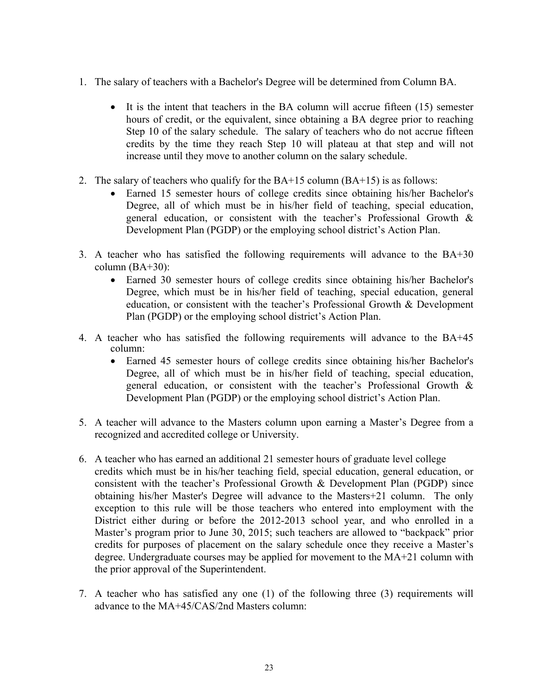- 1. The salary of teachers with a Bachelor's Degree will be determined from Column BA.
	- It is the intent that teachers in the BA column will accrue fifteen  $(15)$  semester hours of credit, or the equivalent, since obtaining a BA degree prior to reaching Step 10 of the salary schedule. The salary of teachers who do not accrue fifteen credits by the time they reach Step 10 will plateau at that step and will not increase until they move to another column on the salary schedule.
- 2. The salary of teachers who qualify for the BA+15 column (BA+15) is as follows:
	- Earned 15 semester hours of college credits since obtaining his/her Bachelor's Degree, all of which must be in his/her field of teaching, special education, general education, or consistent with the teacher's Professional Growth & Development Plan (PGDP) or the employing school district's Action Plan.
- 3. A teacher who has satisfied the following requirements will advance to the BA+30 column  $(BA+30)$ :
	- Earned 30 semester hours of college credits since obtaining his/her Bachelor's Degree, which must be in his/her field of teaching, special education, general education, or consistent with the teacher's Professional Growth & Development Plan (PGDP) or the employing school district's Action Plan.
- 4. A teacher who has satisfied the following requirements will advance to the BA+45 column:
	- Earned 45 semester hours of college credits since obtaining his/her Bachelor's Degree, all of which must be in his/her field of teaching, special education, general education, or consistent with the teacher's Professional Growth & Development Plan (PGDP) or the employing school district's Action Plan.
- 5. A teacher will advance to the Masters column upon earning a Master's Degree from a recognized and accredited college or University.
- 6. A teacher who has earned an additional 21 semester hours of graduate level college credits which must be in his/her teaching field, special education, general education, or consistent with the teacher's Professional Growth & Development Plan (PGDP) since obtaining his/her Master's Degree will advance to the Masters+21 column. The only exception to this rule will be those teachers who entered into employment with the District either during or before the 2012-2013 school year, and who enrolled in a Master's program prior to June 30, 2015; such teachers are allowed to "backpack" prior credits for purposes of placement on the salary schedule once they receive a Master's degree. Undergraduate courses may be applied for movement to the MA+21 column with the prior approval of the Superintendent.
- 7. A teacher who has satisfied any one (1) of the following three (3) requirements will advance to the MA+45/CAS/2nd Masters column: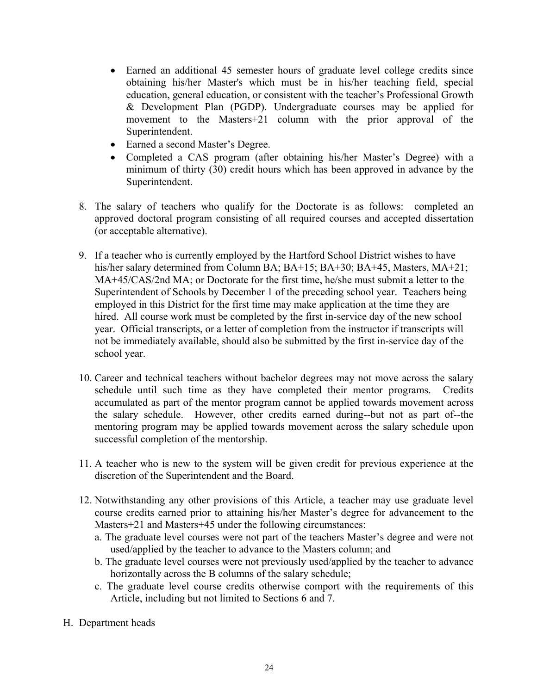- Earned an additional 45 semester hours of graduate level college credits since obtaining his/her Master's which must be in his/her teaching field, special education, general education, or consistent with the teacher's Professional Growth & Development Plan (PGDP). Undergraduate courses may be applied for movement to the Masters+21 column with the prior approval of the Superintendent.
- Earned a second Master's Degree.
- Completed a CAS program (after obtaining his/her Master's Degree) with a minimum of thirty (30) credit hours which has been approved in advance by the Superintendent.
- 8. The salary of teachers who qualify for the Doctorate is as follows: completed an approved doctoral program consisting of all required courses and accepted dissertation (or acceptable alternative).
- 9. If a teacher who is currently employed by the Hartford School District wishes to have his/her salary determined from Column BA; BA+15; BA+30; BA+45, Masters, MA+21; MA+45/CAS/2nd MA; or Doctorate for the first time, he/she must submit a letter to the Superintendent of Schools by December 1 of the preceding school year. Teachers being employed in this District for the first time may make application at the time they are hired. All course work must be completed by the first in-service day of the new school year. Official transcripts, or a letter of completion from the instructor if transcripts will not be immediately available, should also be submitted by the first in-service day of the school year.
- 10. Career and technical teachers without bachelor degrees may not move across the salary schedule until such time as they have completed their mentor programs. Credits accumulated as part of the mentor program cannot be applied towards movement across the salary schedule. However, other credits earned during--but not as part of--the mentoring program may be applied towards movement across the salary schedule upon successful completion of the mentorship.
- 11. A teacher who is new to the system will be given credit for previous experience at the discretion of the Superintendent and the Board.
- 12. Notwithstanding any other provisions of this Article, a teacher may use graduate level course credits earned prior to attaining his/her Master's degree for advancement to the Masters+21 and Masters+45 under the following circumstances:
	- a. The graduate level courses were not part of the teachers Master's degree and were not used/applied by the teacher to advance to the Masters column; and
	- b. The graduate level courses were not previously used/applied by the teacher to advance horizontally across the B columns of the salary schedule;
	- c. The graduate level course credits otherwise comport with the requirements of this Article, including but not limited to Sections 6 and 7.
- H. Department heads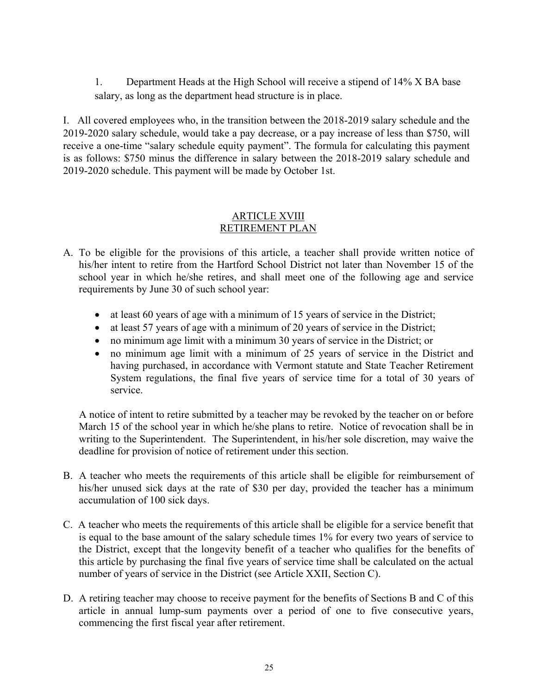1. Department Heads at the High School will receive a stipend of 14% X BA base salary, as long as the department head structure is in place.

I. All covered employees who, in the transition between the 2018-2019 salary schedule and the 2019-2020 salary schedule, would take a pay decrease, or a pay increase of less than \$750, will receive a one-time "salary schedule equity payment". The formula for calculating this payment is as follows: \$750 minus the difference in salary between the 2018-2019 salary schedule and 2019-2020 schedule. This payment will be made by October 1st.

#### ARTICLE XVIII RETIREMENT PLAN

- A. To be eligible for the provisions of this article, a teacher shall provide written notice of his/her intent to retire from the Hartford School District not later than November 15 of the school year in which he/she retires, and shall meet one of the following age and service requirements by June 30 of such school year:
	- at least 60 years of age with a minimum of 15 years of service in the District;
	- at least 57 years of age with a minimum of 20 years of service in the District;
	- no minimum age limit with a minimum 30 years of service in the District; or
	- no minimum age limit with a minimum of 25 years of service in the District and having purchased, in accordance with Vermont statute and State Teacher Retirement System regulations, the final five years of service time for a total of 30 years of service.

 A notice of intent to retire submitted by a teacher may be revoked by the teacher on or before March 15 of the school year in which he/she plans to retire. Notice of revocation shall be in writing to the Superintendent. The Superintendent, in his/her sole discretion, may waive the deadline for provision of notice of retirement under this section.

- B. A teacher who meets the requirements of this article shall be eligible for reimbursement of his/her unused sick days at the rate of \$30 per day, provided the teacher has a minimum accumulation of 100 sick days.
- C. A teacher who meets the requirements of this article shall be eligible for a service benefit that is equal to the base amount of the salary schedule times 1% for every two years of service to the District, except that the longevity benefit of a teacher who qualifies for the benefits of this article by purchasing the final five years of service time shall be calculated on the actual number of years of service in the District (see Article XXII, Section C).
- D. A retiring teacher may choose to receive payment for the benefits of Sections B and C of this article in annual lump-sum payments over a period of one to five consecutive years, commencing the first fiscal year after retirement.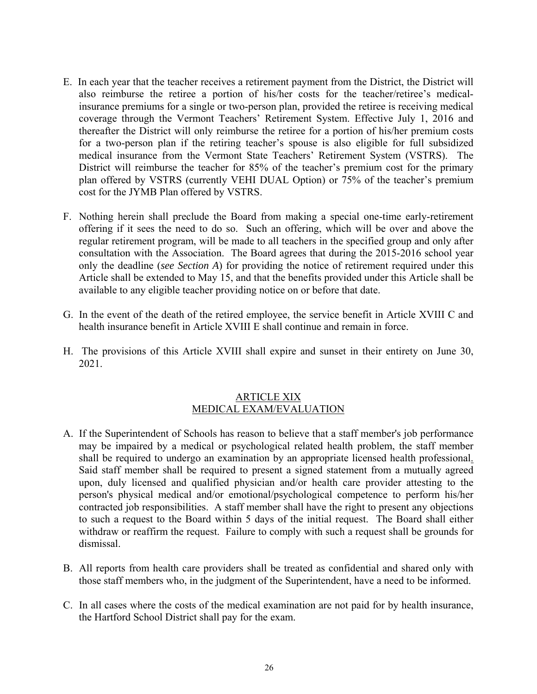- E. In each year that the teacher receives a retirement payment from the District, the District will also reimburse the retiree a portion of his/her costs for the teacher/retiree's medicalinsurance premiums for a single or two-person plan, provided the retiree is receiving medical coverage through the Vermont Teachers' Retirement System. Effective July 1, 2016 and thereafter the District will only reimburse the retiree for a portion of his/her premium costs for a two-person plan if the retiring teacher's spouse is also eligible for full subsidized medical insurance from the Vermont State Teachers' Retirement System (VSTRS). The District will reimburse the teacher for 85% of the teacher's premium cost for the primary plan offered by VSTRS (currently VEHI DUAL Option) or 75% of the teacher's premium cost for the JYMB Plan offered by VSTRS.
- F. Nothing herein shall preclude the Board from making a special one-time early-retirement offering if it sees the need to do so. Such an offering, which will be over and above the regular retirement program, will be made to all teachers in the specified group and only after consultation with the Association. The Board agrees that during the 2015-2016 school year only the deadline (*see Section A*) for providing the notice of retirement required under this Article shall be extended to May 15, and that the benefits provided under this Article shall be available to any eligible teacher providing notice on or before that date.
- G. In the event of the death of the retired employee, the service benefit in Article XVIII C and health insurance benefit in Article XVIII E shall continue and remain in force.
- H. The provisions of this Article XVIII shall expire and sunset in their entirety on June 30, 2021.

#### ARTICLE XIX MEDICAL EXAM/EVALUATION

- A. If the Superintendent of Schools has reason to believe that a staff member's job performance may be impaired by a medical or psychological related health problem, the staff member shall be required to undergo an examination by an appropriate licensed health professional. Said staff member shall be required to present a signed statement from a mutually agreed upon, duly licensed and qualified physician and/or health care provider attesting to the person's physical medical and/or emotional/psychological competence to perform his/her contracted job responsibilities. A staff member shall have the right to present any objections to such a request to the Board within 5 days of the initial request. The Board shall either withdraw or reaffirm the request. Failure to comply with such a request shall be grounds for dismissal.
- B. All reports from health care providers shall be treated as confidential and shared only with those staff members who, in the judgment of the Superintendent, have a need to be informed.
- C. In all cases where the costs of the medical examination are not paid for by health insurance, the Hartford School District shall pay for the exam.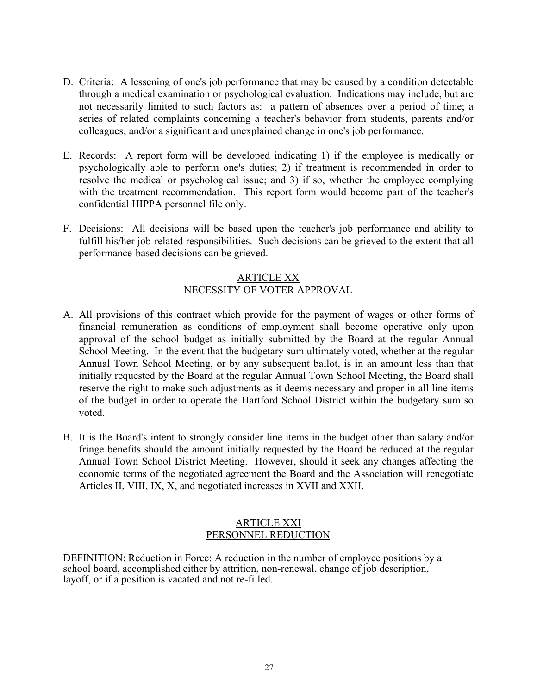- D. Criteria: A lessening of one's job performance that may be caused by a condition detectable through a medical examination or psychological evaluation. Indications may include, but are not necessarily limited to such factors as: a pattern of absences over a period of time; a series of related complaints concerning a teacher's behavior from students, parents and/or colleagues; and/or a significant and unexplained change in one's job performance.
- E. Records: A report form will be developed indicating 1) if the employee is medically or psychologically able to perform one's duties; 2) if treatment is recommended in order to resolve the medical or psychological issue; and 3) if so, whether the employee complying with the treatment recommendation. This report form would become part of the teacher's confidential HIPPA personnel file only.
- F. Decisions: All decisions will be based upon the teacher's job performance and ability to fulfill his/her job-related responsibilities. Such decisions can be grieved to the extent that all performance-based decisions can be grieved.

## ARTICLE XX NECESSITY OF VOTER APPROVAL

- A. All provisions of this contract which provide for the payment of wages or other forms of financial remuneration as conditions of employment shall become operative only upon approval of the school budget as initially submitted by the Board at the regular Annual School Meeting. In the event that the budgetary sum ultimately voted, whether at the regular Annual Town School Meeting, or by any subsequent ballot, is in an amount less than that initially requested by the Board at the regular Annual Town School Meeting, the Board shall reserve the right to make such adjustments as it deems necessary and proper in all line items of the budget in order to operate the Hartford School District within the budgetary sum so voted.
- B. It is the Board's intent to strongly consider line items in the budget other than salary and/or fringe benefits should the amount initially requested by the Board be reduced at the regular Annual Town School District Meeting. However, should it seek any changes affecting the economic terms of the negotiated agreement the Board and the Association will renegotiate Articles II, VIII, IX, X, and negotiated increases in XVII and XXII.

#### ARTICLE XXI PERSONNEL REDUCTION

DEFINITION: Reduction in Force: A reduction in the number of employee positions by a school board, accomplished either by attrition, non-renewal, change of job description, layoff, or if a position is vacated and not re-filled.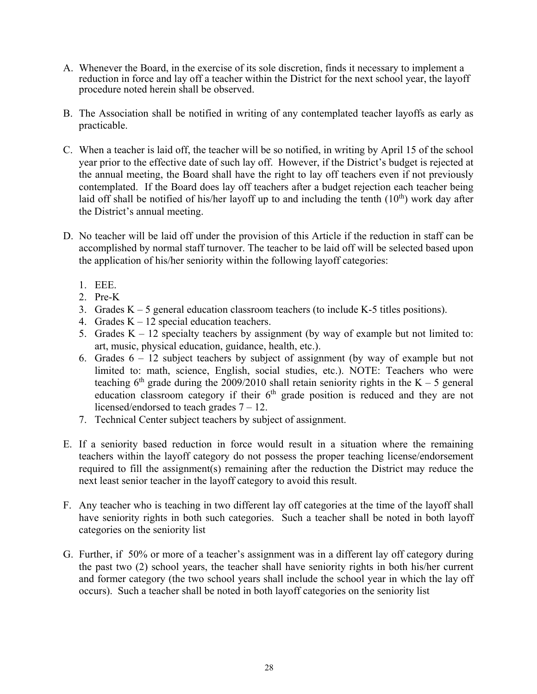- A. Whenever the Board, in the exercise of its sole discretion, finds it necessary to implement a reduction in force and lay off a teacher within the District for the next school year, the layoff procedure noted herein shall be observed.
- B. The Association shall be notified in writing of any contemplated teacher layoffs as early as practicable.
- C. When a teacher is laid off, the teacher will be so notified, in writing by April 15 of the school year prior to the effective date of such lay off. However, if the District's budget is rejected at the annual meeting, the Board shall have the right to lay off teachers even if not previously contemplated. If the Board does lay off teachers after a budget rejection each teacher being laid off shall be notified of his/her layoff up to and including the tenth  $(10<sup>th</sup>)$  work day after the District's annual meeting.
- D. No teacher will be laid off under the provision of this Article if the reduction in staff can be accomplished by normal staff turnover. The teacher to be laid off will be selected based upon the application of his/her seniority within the following layoff categories:
	- 1. EEE.
	- 2. Pre-K
	- 3. Grades  $K 5$  general education classroom teachers (to include K-5 titles positions).
	- 4. Grades  $K 12$  special education teachers.
	- 5. Grades  $K 12$  specialty teachers by assignment (by way of example but not limited to: art, music, physical education, guidance, health, etc.).
	- 6. Grades 6 12 subject teachers by subject of assignment (by way of example but not limited to: math, science, English, social studies, etc.). NOTE: Teachers who were teaching  $6<sup>th</sup>$  grade during the 2009/2010 shall retain seniority rights in the K – 5 general education classroom category if their  $6<sup>th</sup>$  grade position is reduced and they are not licensed/endorsed to teach grades 7 – 12.
	- 7. Technical Center subject teachers by subject of assignment.
- E. If a seniority based reduction in force would result in a situation where the remaining teachers within the layoff category do not possess the proper teaching license/endorsement required to fill the assignment(s) remaining after the reduction the District may reduce the next least senior teacher in the layoff category to avoid this result.
- F. Any teacher who is teaching in two different lay off categories at the time of the layoff shall have seniority rights in both such categories. Such a teacher shall be noted in both layoff categories on the seniority list
- G. Further, if 50% or more of a teacher's assignment was in a different lay off category during the past two (2) school years, the teacher shall have seniority rights in both his/her current and former category (the two school years shall include the school year in which the lay off occurs). Such a teacher shall be noted in both layoff categories on the seniority list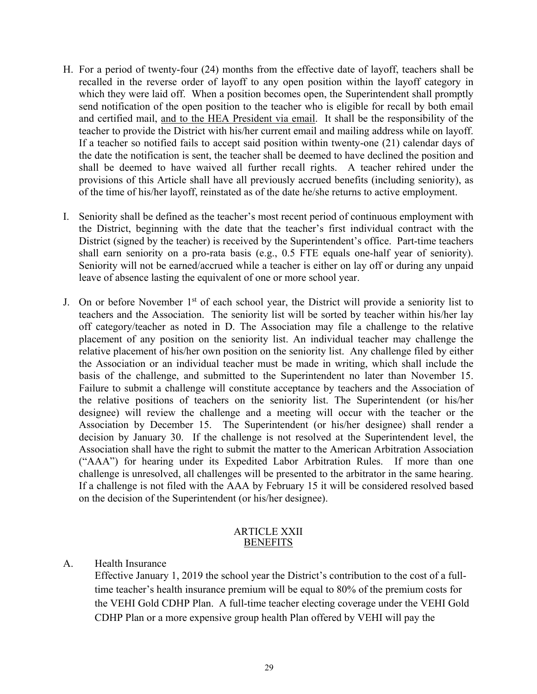- H. For a period of twenty-four (24) months from the effective date of layoff, teachers shall be recalled in the reverse order of layoff to any open position within the layoff category in which they were laid off. When a position becomes open, the Superintendent shall promptly send notification of the open position to the teacher who is eligible for recall by both email and certified mail, and to the HEA President via email. It shall be the responsibility of the teacher to provide the District with his/her current email and mailing address while on layoff. If a teacher so notified fails to accept said position within twenty-one (21) calendar days of the date the notification is sent, the teacher shall be deemed to have declined the position and shall be deemed to have waived all further recall rights. A teacher rehired under the provisions of this Article shall have all previously accrued benefits (including seniority), as of the time of his/her layoff, reinstated as of the date he/she returns to active employment.
- I. Seniority shall be defined as the teacher's most recent period of continuous employment with the District, beginning with the date that the teacher's first individual contract with the District (signed by the teacher) is received by the Superintendent's office. Part-time teachers shall earn seniority on a pro-rata basis (e.g., 0.5 FTE equals one-half year of seniority). Seniority will not be earned/accrued while a teacher is either on lay off or during any unpaid leave of absence lasting the equivalent of one or more school year.
- J. On or before November 1<sup>st</sup> of each school year, the District will provide a seniority list to teachers and the Association. The seniority list will be sorted by teacher within his/her lay off category/teacher as noted in D. The Association may file a challenge to the relative placement of any position on the seniority list. An individual teacher may challenge the relative placement of his/her own position on the seniority list. Any challenge filed by either the Association or an individual teacher must be made in writing, which shall include the basis of the challenge, and submitted to the Superintendent no later than November 15. Failure to submit a challenge will constitute acceptance by teachers and the Association of the relative positions of teachers on the seniority list. The Superintendent (or his/her designee) will review the challenge and a meeting will occur with the teacher or the Association by December 15. The Superintendent (or his/her designee) shall render a decision by January 30. If the challenge is not resolved at the Superintendent level, the Association shall have the right to submit the matter to the American Arbitration Association ("AAA") for hearing under its Expedited Labor Arbitration Rules. If more than one challenge is unresolved, all challenges will be presented to the arbitrator in the same hearing. If a challenge is not filed with the AAA by February 15 it will be considered resolved based on the decision of the Superintendent (or his/her designee).

#### ARTICLE XXII **BENEFITS**

#### A. Health Insurance

Effective January 1, 2019 the school year the District's contribution to the cost of a fulltime teacher's health insurance premium will be equal to 80% of the premium costs for the VEHI Gold CDHP Plan. A full-time teacher electing coverage under the VEHI Gold CDHP Plan or a more expensive group health Plan offered by VEHI will pay the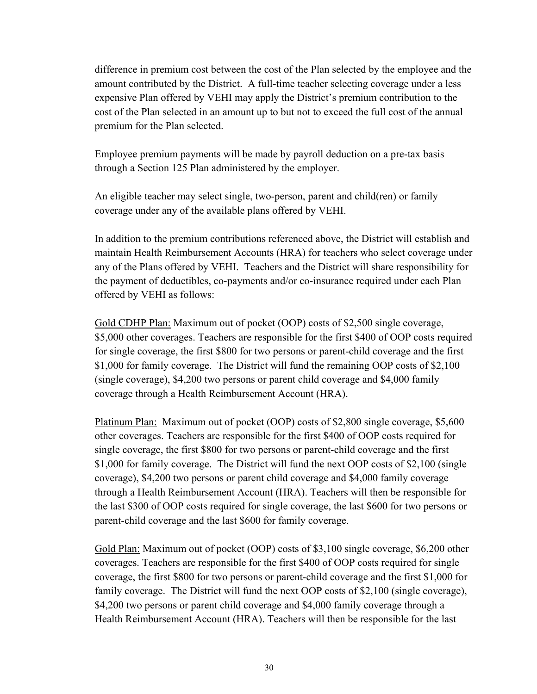difference in premium cost between the cost of the Plan selected by the employee and the amount contributed by the District. A full-time teacher selecting coverage under a less expensive Plan offered by VEHI may apply the District's premium contribution to the cost of the Plan selected in an amount up to but not to exceed the full cost of the annual premium for the Plan selected.

 Employee premium payments will be made by payroll deduction on a pre-tax basis through a Section 125 Plan administered by the employer.

 An eligible teacher may select single, two-person, parent and child(ren) or family coverage under any of the available plans offered by VEHI.

 In addition to the premium contributions referenced above, the District will establish and maintain Health Reimbursement Accounts (HRA) for teachers who select coverage under any of the Plans offered by VEHI. Teachers and the District will share responsibility for the payment of deductibles, co-payments and/or co-insurance required under each Plan offered by VEHI as follows:

 Gold CDHP Plan: Maximum out of pocket (OOP) costs of \$2,500 single coverage, \$5,000 other coverages. Teachers are responsible for the first \$400 of OOP costs required for single coverage, the first \$800 for two persons or parent-child coverage and the first \$1,000 for family coverage. The District will fund the remaining OOP costs of \$2,100 (single coverage), \$4,200 two persons or parent child coverage and \$4,000 family coverage through a Health Reimbursement Account (HRA).

 Platinum Plan: Maximum out of pocket (OOP) costs of \$2,800 single coverage, \$5,600 other coverages. Teachers are responsible for the first \$400 of OOP costs required for single coverage, the first \$800 for two persons or parent-child coverage and the first \$1,000 for family coverage. The District will fund the next OOP costs of \$2,100 (single coverage), \$4,200 two persons or parent child coverage and \$4,000 family coverage through a Health Reimbursement Account (HRA). Teachers will then be responsible for the last \$300 of OOP costs required for single coverage, the last \$600 for two persons or parent-child coverage and the last \$600 for family coverage.

Gold Plan: Maximum out of pocket (OOP) costs of \$3,100 single coverage, \$6,200 other coverages. Teachers are responsible for the first \$400 of OOP costs required for single coverage, the first \$800 for two persons or parent-child coverage and the first \$1,000 for family coverage. The District will fund the next OOP costs of \$2,100 (single coverage), \$4,200 two persons or parent child coverage and \$4,000 family coverage through a Health Reimbursement Account (HRA). Teachers will then be responsible for the last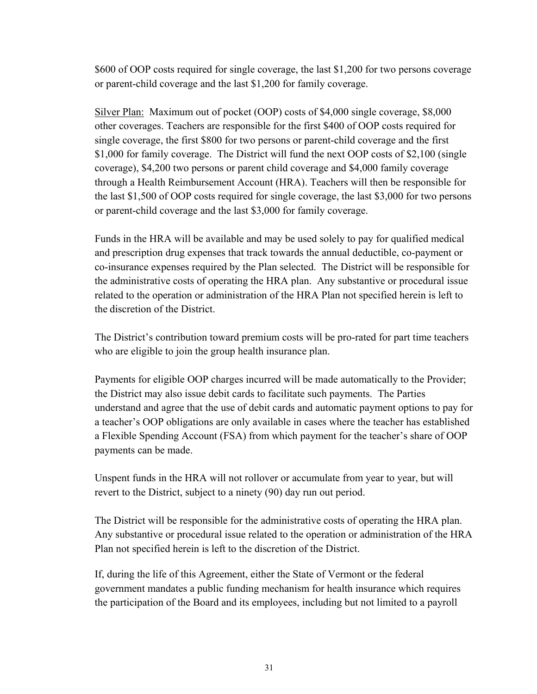\$600 of OOP costs required for single coverage, the last \$1,200 for two persons coverage or parent-child coverage and the last \$1,200 for family coverage.

 Silver Plan: Maximum out of pocket (OOP) costs of \$4,000 single coverage, \$8,000 other coverages. Teachers are responsible for the first \$400 of OOP costs required for single coverage, the first \$800 for two persons or parent-child coverage and the first \$1,000 for family coverage. The District will fund the next OOP costs of \$2,100 (single coverage), \$4,200 two persons or parent child coverage and \$4,000 family coverage through a Health Reimbursement Account (HRA). Teachers will then be responsible for the last \$1,500 of OOP costs required for single coverage, the last \$3,000 for two persons or parent-child coverage and the last \$3,000 for family coverage.

 Funds in the HRA will be available and may be used solely to pay for qualified medical and prescription drug expenses that track towards the annual deductible, co-payment or co-insurance expenses required by the Plan selected. The District will be responsible for the administrative costs of operating the HRA plan. Any substantive or procedural issue related to the operation or administration of the HRA Plan not specified herein is left to the discretion of the District.

 The District's contribution toward premium costs will be pro-rated for part time teachers who are eligible to join the group health insurance plan.

 Payments for eligible OOP charges incurred will be made automatically to the Provider; the District may also issue debit cards to facilitate such payments. The Parties understand and agree that the use of debit cards and automatic payment options to pay for a teacher's OOP obligations are only available in cases where the teacher has established a Flexible Spending Account (FSA) from which payment for the teacher's share of OOP payments can be made.

 Unspent funds in the HRA will not rollover or accumulate from year to year, but will revert to the District, subject to a ninety (90) day run out period.

 The District will be responsible for the administrative costs of operating the HRA plan. Any substantive or procedural issue related to the operation or administration of the HRA Plan not specified herein is left to the discretion of the District.

If, during the life of this Agreement, either the State of Vermont or the federal government mandates a public funding mechanism for health insurance which requires the participation of the Board and its employees, including but not limited to a payroll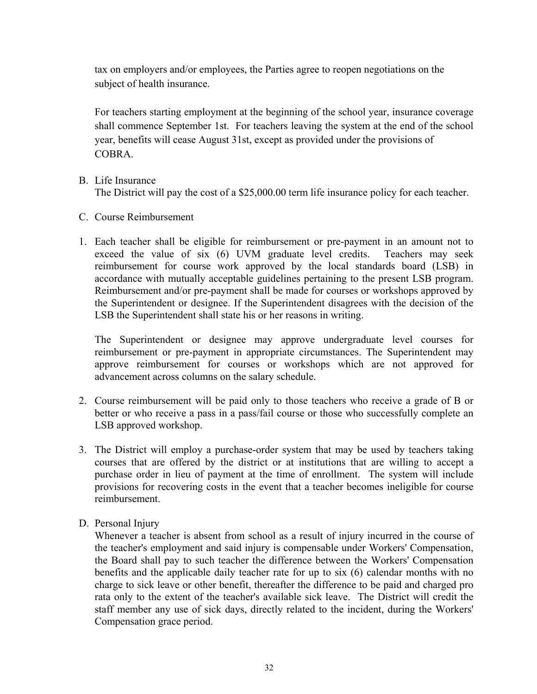tax on employers and/or employees, the Parties agree to reopen negotiations on the subject of health insurance.

For teachers starting employment at the beginning of the school year, insurance coverage shall commence September 1st. For teachers leaving the system at the end of the school year, benefits will cease August 31st, except as provided under the provisions of COBRA.

- B. Life Insurance The District will pay the cost of a \$25,000.00 term life insurance policy for each teacher.
- C. Course Reimbursement
- 1. Each teacher shall be eligible for reimbursement or pre-payment in an amount not to exceed the value of six (6) UVM graduate level credits. Teachers may seek reimbursement for course work approved by the local standards board (LSB) in accordance with mutually acceptable guidelines pertaining to the present LSB program. Reimbursement and/or pre-payment shall be made for courses or workshops approved by the Superintendent or designee. If the Superintendent disagrees with the decision of the LSB the Superintendent shall state his or her reasons in writing.

The Superintendent or designee may approve undergraduate level courses for reimbursement or pre-payment in appropriate circumstances. The Superintendent may approve reimbursement for courses or workshops which are not approved for advancement across columns on the salary schedule.

- 2. Course reimbursement will be paid only to those teachers who receive a grade of B or better or who receive a pass in a pass/fail course or those who successfully complete an LSB approved workshop.
- 3. The District will employ a purchase-order system that may be used by teachers taking courses that are offered by the district or at institutions that are willing to accept a purchase order in lieu of payment at the time of enrollment. The system will include provisions for recovering costs in the event that a teacher becomes ineligible for course reimbursement.
- D. Personal Injury

Whenever a teacher is absent from school as a result of injury incurred in the course of the teacher's employment and said injury is compensable under Workers' Compensation, the Board shall pay to such teacher the difference between the Workers' Compensation benefits and the applicable daily teacher rate for up to six (6) calendar months with no charge to sick leave or other benefit, thereafter the difference to be paid and charged pro rata only to the extent of the teacher's available sick leave. The District will credit the staff member any use of sick days, directly related to the incident, during the Workers' Compensation grace period.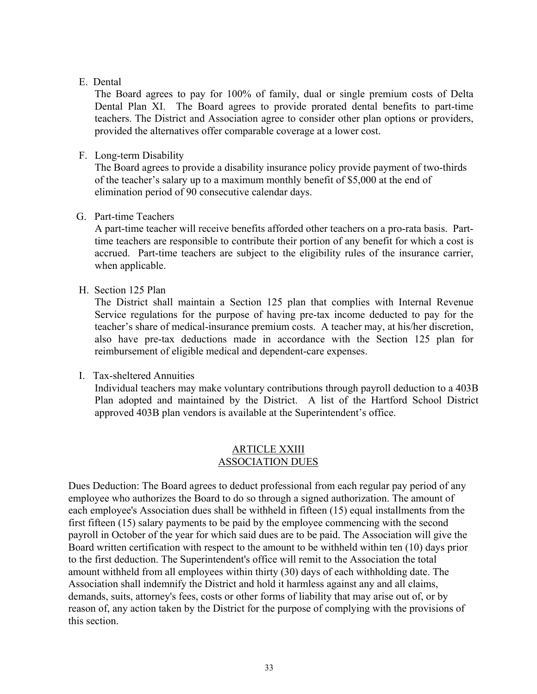### E. Dental

The Board agrees to pay for 100% of family, dual or single premium costs of Delta Dental Plan XI. The Board agrees to provide prorated dental benefits to part-time teachers. The District and Association agree to consider other plan options or providers, provided the alternatives offer comparable coverage at a lower cost.

## F. Long-term Disability

The Board agrees to provide a disability insurance policy provide payment of two-thirds of the teacher's salary up to a maximum monthly benefit of \$5,000 at the end of elimination period of 90 consecutive calendar days.

## G. Part-time Teachers

A part-time teacher will receive benefits afforded other teachers on a pro-rata basis. Parttime teachers are responsible to contribute their portion of any benefit for which a cost is accrued. Part-time teachers are subject to the eligibility rules of the insurance carrier, when applicable.

#### H. Section 125 Plan

The District shall maintain a Section 125 plan that complies with Internal Revenue Service regulations for the purpose of having pre-tax income deducted to pay for the teacher's share of medical-insurance premium costs. A teacher may, at his/her discretion, also have pre-tax deductions made in accordance with the Section 125 plan for reimbursement of eligible medical and dependent-care expenses.

## I. Tax-sheltered Annuities

Individual teachers may make voluntary contributions through payroll deduction to a 403B Plan adopted and maintained by the District. A list of the Hartford School District approved 403B plan vendors is available at the Superintendent's office.

#### ARTICLE XXIII ASSOCIATION DUES

Dues Deduction: The Board agrees to deduct professional from each regular pay period of any employee who authorizes the Board to do so through a signed authorization. The amount of each employee's Association dues shall be withheld in fifteen (15) equal installments from the first fifteen (15) salary payments to be paid by the employee commencing with the second payroll in October of the year for which said dues are to be paid. The Association will give the Board written certification with respect to the amount to be withheld within ten (10) days prior to the first deduction. The Superintendent's office will remit to the Association the total amount withheld from all employees within thirty (30) days of each withholding date. The Association shall indemnify the District and hold it harmless against any and all claims, demands, suits, attorney's fees, costs or other forms of liability that may arise out of, or by reason of, any action taken by the District for the purpose of complying with the provisions of this section.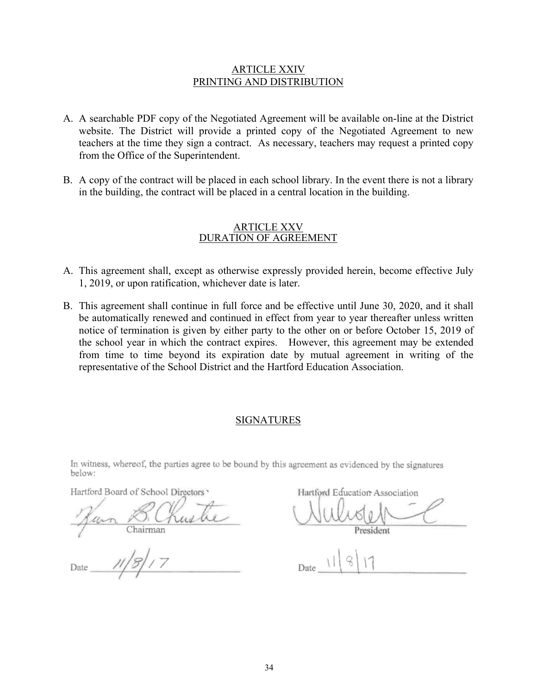#### ARTICLE XXIV PRINTING AND DISTRIBUTION

- A. A searchable PDF copy of the Negotiated Agreement will be available on-line at the District website. The District will provide a printed copy of the Negotiated Agreement to new teachers at the time they sign a contract. As necessary, teachers may request a printed copy from the Office of the Superintendent.
- B. A copy of the contract will be placed in each school library. In the event there is not a library in the building, the contract will be placed in a central location in the building.

#### ARTICLE XXV DURATION OF AGREEMENT

- A. This agreement shall, except as otherwise expressly provided herein, become effective July 1, 2019, or upon ratification, whichever date is later.
- B. This agreement shall continue in full force and be effective until June 30, 2020, and it shall be automatically renewed and continued in effect from year to year thereafter unless written notice of termination is given by either party to the other on or before October 15, 2019 of the school year in which the contract expires. However, this agreement may be extended from time to time beyond its expiration date by mutual agreement in writing of the representative of the School District and the Hartford Education Association.

#### SIGNATURES

In witness, whereof, the parties agree to be bound by this agreement as evidenced by the signatures below:

Hartford Board of School Directors

Hartford Education Association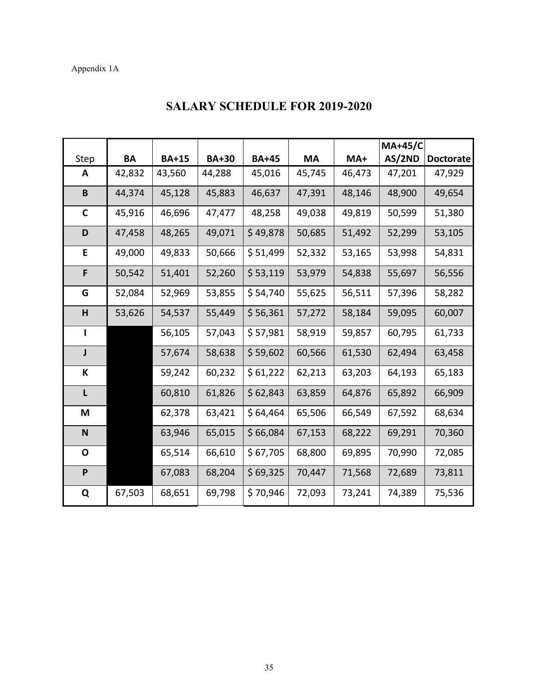# Appendix 1A

|              |           |              |              |              |        |        | <b>MA+45/C</b> |                  |
|--------------|-----------|--------------|--------------|--------------|--------|--------|----------------|------------------|
| Step         | <b>BA</b> | <b>BA+15</b> | <b>BA+30</b> | <b>BA+45</b> | MA     | MA+    | AS/2ND         | <b>Doctorate</b> |
| A            | 42,832    | 43,560       | 44,288       | 45,016       | 45,745 | 46,473 | 47,201         | 47,929           |
| B            | 44,374    | 45,128       | 45,883       | 46,637       | 47,391 | 48,146 | 48,900         | 49,654           |
| $\mathbf C$  | 45,916    | 46,696       | 47,477       | 48,258       | 49,038 | 49,819 | 50,599         | 51,380           |
| D            | 47,458    | 48,265       | 49,071       | \$49,878     | 50,685 | 51,492 | 52,299         | 53,105           |
| Е            | 49,000    | 49,833       | 50,666       | \$51,499     | 52,332 | 53,165 | 53,998         | 54,831           |
| F            | 50,542    | 51,401       | 52,260       | \$53,119     | 53,979 | 54,838 | 55,697         | 56,556           |
| G            | 52,084    | 52,969       | 53,855       | \$54,740     | 55,625 | 56,511 | 57,396         | 58,282           |
| н            | 53,626    | 54,537       | 55,449       | \$56,361     | 57,272 | 58,184 | 59,095         | 60,007           |
| $\mathbf{I}$ |           | 56,105       | 57,043       | \$57,981     | 58,919 | 59,857 | 60,795         | 61,733           |
| J            |           | 57,674       | 58,638       | \$59,602     | 60,566 | 61,530 | 62,494         | 63,458           |
| К            |           | 59,242       | 60,232       | \$61,222     | 62,213 | 63,203 | 64,193         | 65,183           |
| L            |           | 60,810       | 61,826       | \$62,843     | 63,859 | 64,876 | 65,892         | 66,909           |
| M            |           | 62,378       | 63,421       | \$64,464     | 65,506 | 66,549 | 67,592         | 68,634           |
| $\mathsf{N}$ |           | 63,946       | 65,015       | \$66,084     | 67,153 | 68,222 | 69,291         | 70,360           |
| O            |           | 65,514       | 66,610       | \$67,705     | 68,800 | 69,895 | 70,990         | 72,085           |
| P            |           | 67,083       | 68,204       | \$69,325     | 70,447 | 71,568 | 72,689         | 73,811           |
| Q            | 67,503    | 68,651       | 69,798       | \$70,946     | 72,093 | 73,241 | 74,389         | 75,536           |

# **SALARY SCHEDULE FOR 2019-2020**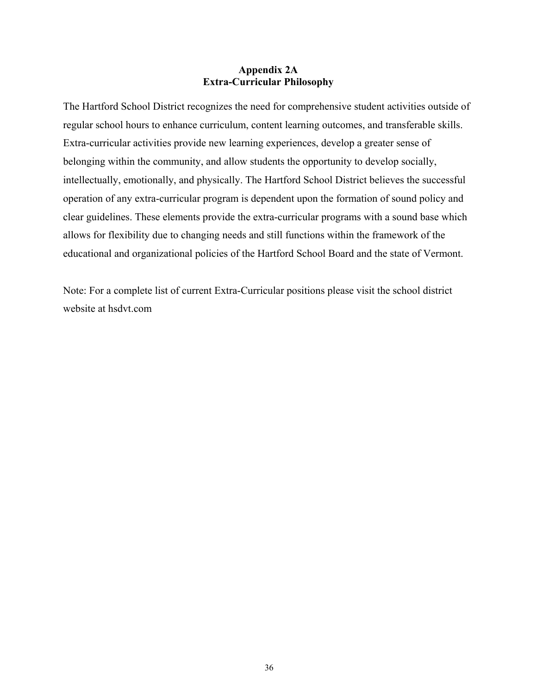## **Appendix 2A Extra-Curricular Philosophy**

The Hartford School District recognizes the need for comprehensive student activities outside of regular school hours to enhance curriculum, content learning outcomes, and transferable skills. Extra-curricular activities provide new learning experiences, develop a greater sense of belonging within the community, and allow students the opportunity to develop socially, intellectually, emotionally, and physically. The Hartford School District believes the successful operation of any extra-curricular program is dependent upon the formation of sound policy and clear guidelines. These elements provide the extra-curricular programs with a sound base which allows for flexibility due to changing needs and still functions within the framework of the educational and organizational policies of the Hartford School Board and the state of Vermont.

Note: For a complete list of current Extra-Curricular positions please visit the school district website at hsdvt.com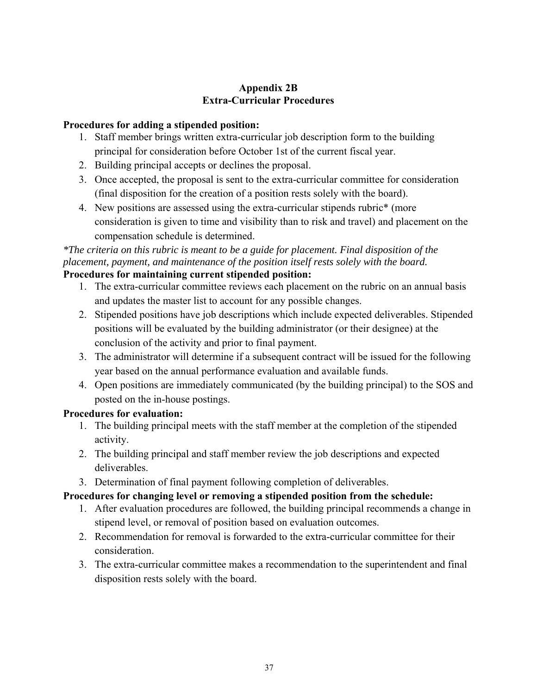# **Appendix 2B Extra-Curricular Procedures**

# **Procedures for adding a stipended position:**

- 1. Staff member brings written extra-curricular job description form to the building principal for consideration before October 1st of the current fiscal year.
- 2. Building principal accepts or declines the proposal.
- 3. Once accepted, the proposal is sent to the extra-curricular committee for consideration (final disposition for the creation of a position rests solely with the board).
- 4. New positions are assessed using the extra-curricular stipends rubric\* (more consideration is given to time and visibility than to risk and travel) and placement on the compensation schedule is determined.

# *\*The criteria on this rubric is meant to be a guide for placement. Final disposition of the placement, payment, and maintenance of the position itself rests solely with the board.*  **Procedures for maintaining current stipended position:**

- 1. The extra-curricular committee reviews each placement on the rubric on an annual basis and updates the master list to account for any possible changes.
- 2. Stipended positions have job descriptions which include expected deliverables. Stipended positions will be evaluated by the building administrator (or their designee) at the conclusion of the activity and prior to final payment.
- 3. The administrator will determine if a subsequent contract will be issued for the following year based on the annual performance evaluation and available funds.
- 4. Open positions are immediately communicated (by the building principal) to the SOS and posted on the in-house postings.

# **Procedures for evaluation:**

- 1. The building principal meets with the staff member at the completion of the stipended activity.
- 2. The building principal and staff member review the job descriptions and expected deliverables.
- 3. Determination of final payment following completion of deliverables.

# **Procedures for changing level or removing a stipended position from the schedule:**

- 1. After evaluation procedures are followed, the building principal recommends a change in stipend level, or removal of position based on evaluation outcomes.
- 2. Recommendation for removal is forwarded to the extra-curricular committee for their consideration.
- 3. The extra-curricular committee makes a recommendation to the superintendent and final disposition rests solely with the board.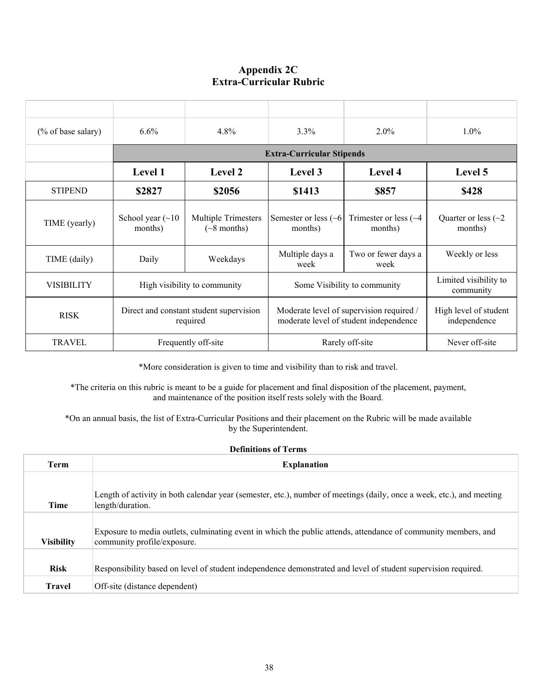# **Appendix 2C Extra-Curricular Rubric**

| (% of base salary) | 6.6%                                                | 4.8%                                            | 3.3%                                                                               | $2.0\%$                                | 1.0%                                  |
|--------------------|-----------------------------------------------------|-------------------------------------------------|------------------------------------------------------------------------------------|----------------------------------------|---------------------------------------|
|                    |                                                     |                                                 |                                                                                    |                                        |                                       |
|                    | Level 1                                             | <b>Level 2</b>                                  | Level 3                                                                            | Level 4                                | Level 5                               |
| <b>STIPEND</b>     | \$2827                                              | \$2056                                          | \$1413                                                                             | \$857                                  | \$428                                 |
| TIME (yearly)      | School year $(\sim 10$<br>months)                   | <b>Multiple Trimesters</b><br>$(\sim 8$ months) | Semester or less $($ $\sim$ 6<br>months)                                           | Trimester or less $(\sim4)$<br>months) | Quarter or less $(\sim 2)$<br>months) |
| TIME (daily)       | Daily                                               | Weekdays                                        | Multiple days a<br>week                                                            | Two or fewer days a<br>week            | Weekly or less                        |
| <b>VISIBILITY</b>  | High visibility to community                        |                                                 |                                                                                    | Some Visibility to community           | Limited visibility to<br>community    |
| <b>RISK</b>        | Direct and constant student supervision<br>required |                                                 | Moderate level of supervision required /<br>moderate level of student independence |                                        | High level of student<br>independence |
| <b>TRAVEL</b>      | Frequently off-site                                 |                                                 |                                                                                    | Rarely off-site                        | Never off-site                        |

\*More consideration is given to time and visibility than to risk and travel.

\*The criteria on this rubric is meant to be a guide for placement and final disposition of the placement, payment, and maintenance of the position itself rests solely with the Board.

\*On an annual basis, the list of Extra-Curricular Positions and their placement on the Rubric will be made available by the Superintendent.

| <b>Definitions of Terms</b> |                                                                                                                                               |  |
|-----------------------------|-----------------------------------------------------------------------------------------------------------------------------------------------|--|
| <b>Term</b>                 | <b>Explanation</b>                                                                                                                            |  |
| <b>Time</b>                 | Length of activity in both calendar year (semester, etc.), number of meetings (daily, once a week, etc.), and meeting<br>length/duration.     |  |
| <b>Visibility</b>           | Exposure to media outlets, culminating event in which the public attends, attendance of community members, and<br>community profile/exposure. |  |
| <b>Risk</b>                 | Responsibility based on level of student independence demonstrated and level of student supervision required.                                 |  |
| <b>Travel</b>               | Off-site (distance dependent)                                                                                                                 |  |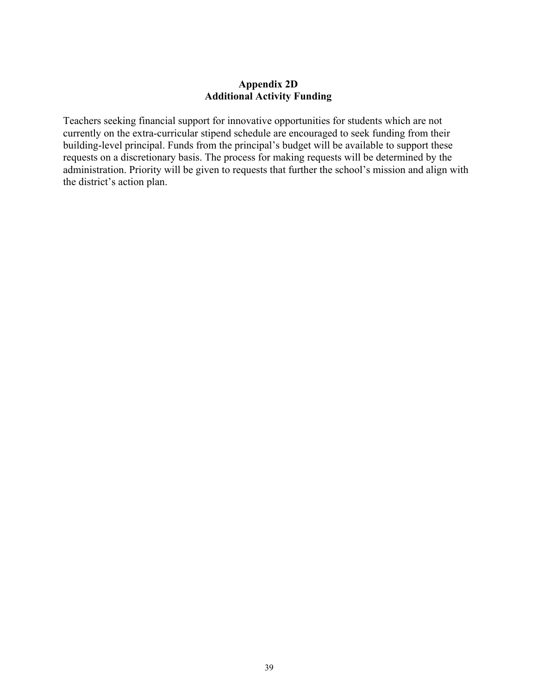## **Appendix 2D Additional Activity Funding**

Teachers seeking financial support for innovative opportunities for students which are not currently on the extra-curricular stipend schedule are encouraged to seek funding from their building-level principal. Funds from the principal's budget will be available to support these requests on a discretionary basis. The process for making requests will be determined by the administration. Priority will be given to requests that further the school's mission and align with the district's action plan.